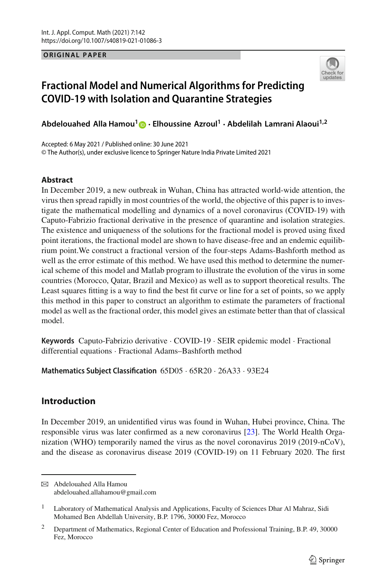**ORIGINAL PAPER**



# **Fractional Model and Numerical Algorithms for Predicting COVID-19 with Isolation and Quarantine Strategies**

**Abdelouahed Alla Hamou[1](http://orcid.org/0000-0001-7480-0148) · Elhoussine Azroul<sup>1</sup> · Abdelilah Lamrani Alaoui1,2**

Accepted: 6 May 2021 / Published online: 30 June 2021 © The Author(s), under exclusive licence to Springer Nature India Private Limited 2021

#### **Abstract**

In December 2019, a new outbreak in Wuhan, China has attracted world-wide attention, the virus then spread rapidly in most countries of the world, the objective of this paper is to investigate the mathematical modelling and dynamics of a novel coronavirus (COVID-19) with Caputo-Fabrizio fractional derivative in the presence of quarantine and isolation strategies. The existence and uniqueness of the solutions for the fractional model is proved using fixed point iterations, the fractional model are shown to have disease-free and an endemic equilibrium point.We construct a fractional version of the four-steps Adams-Bashforth method as well as the error estimate of this method. We have used this method to determine the numerical scheme of this model and Matlab program to illustrate the evolution of the virus in some countries (Morocco, Qatar, Brazil and Mexico) as well as to support theoretical results. The Least squares fitting is a way to find the best fit curve or line for a set of points, so we apply this method in this paper to construct an algorithm to estimate the parameters of fractional model as well as the fractional order, this model gives an estimate better than that of classical model.

**Keywords** Caputo-Fabrizio derivative · COVID-19 · SEIR epidemic model · Fractional differential equations · Fractional Adams–Bashforth method

**Mathematics Subject Classification** 65D05 · 65R20 · 26A33 · 93E24

## **Introduction**

In December 2019, an unidentified virus was found in Wuhan, Hubei province, China. The responsible virus was later confirmed as a new coronavirus [\[23](#page-28-0)]. The World Health Organization (WHO) temporarily named the virus as the novel coronavirus 2019 (2019-nCoV), and the disease as coronavirus disease 2019 (COVID-19) on 11 February 2020. The first

B Abdelouahed Alla Hamou abdelouahed.allahamou@gmail.com

<sup>&</sup>lt;sup>1</sup> Laboratory of Mathematical Analysis and Applications, Faculty of Sciences Dhar Al Mahraz, Sidi Mohamed Ben Abdellah University, B.P. 1796, 30000 Fez, Morocco

<sup>&</sup>lt;sup>2</sup> Department of Mathematics, Regional Center of Education and Professional Training, B.P. 49, 30000 Fez, Morocco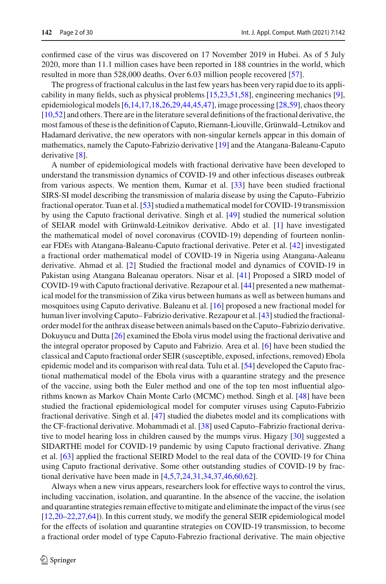confirmed case of the virus was discovered on 17 November 2019 in Hubei. As of 5 July 2020, more than 11.1 million cases have been reported in 188 countries in the world, which resulted in more than 528,000 deaths. Over 6.03 million people recovered [\[57](#page-29-0)].

The progress of fractional calculus in the last few years has been very rapid due to its applicability in many fields, such as physical problems [\[15](#page-27-0)[,23](#page-28-0)[,51](#page-29-1)[,58](#page-29-2)], engineering mechanics [\[9\]](#page-27-1), epidemiological models [\[6](#page-27-2)[,14](#page-27-3)[,17](#page-27-4)[,18](#page-27-5)[,26](#page-28-1)[,29](#page-28-2)[,44](#page-28-3)[,45](#page-28-4)[,47\]](#page-29-3), image processing [\[28](#page-28-5)[,59\]](#page-29-4), chaos theory [\[10](#page-27-6)[,52\]](#page-29-5) and others. There are in the literature several definitions of the fractional derivative, the most famous of these is the definition of Caputo, Riemann-Liouville, Grünwald–Letnikov and Hadamard derivative, the new operators with non-singular kernels appear in this domain of mathematics, namely the Caputo-Fabrizio derivative [\[19\]](#page-27-7) and the Atangana-Baleanu-Caputo derivative [\[8](#page-27-8)].

A number of epidemiological models with fractional derivative have been developed to understand the transmission dynamics of COVID-19 and other infectious diseases outbreak from various aspects. We mention them, Kumar et al. [\[33\]](#page-28-6) have been studied fractional SIRS-SI model describing the transmission of malaria disease by using the Caputo–Fabrizio fractional operator. Tuan et al. [\[53](#page-29-6)] studied a mathematical model for COVID-19 transmission by using the Caputo fractional derivative. Singh et al. [\[49](#page-29-7)] studied the numerical solution of SEIAR model with Grünwald-Leitnikov derivative. Abdo et al. [\[1](#page-27-9)] have investigated the mathematical model of novel coronavirus (COVID-19) depending of fourteen nonlinear FDEs with Atangana-Baleanu-Caputo fractional derivative. Peter et al. [\[42](#page-28-7)] investigated a fractional order mathematical model of COVID-19 in Nigeria using Atangana-Aaleanu derivative. Ahmad et al. [\[2\]](#page-27-10) Studied the fractional model and dynamics of COVID-19 in Pakistan using Atangana Baleanau operators. Nisar et al. [\[41](#page-28-8)] Proposed a SIRD model of COVID-19 with Caputo fractional derivative. Rezapour et al. [\[44\]](#page-28-3) presented a new mathematical model for the transmission of Zika virus between humans as well as between humans and mosquitoes using Caputo derivative. Baleanu et al. [\[16\]](#page-27-11) proposed a new fractional model for human liver involving Caputo– Fabrizio derivative. Rezapour et al. [\[43](#page-28-9)] studied the fractionalorder model for the anthrax disease between animals based on the Caputo–Fabrizio derivative. Dokuyucu and Dutta [\[26](#page-28-1)] examined the Ebola virus model using the fractional derivative and the integral operator proposed by Caputo and Fabrizio. Area et al. [\[6](#page-27-2)] have been studied the classical and Caputo fractional order SEIR (susceptible, exposed, infections, removed) Ebola epidemic model and its comparison with real data. Tulu et al. [\[54](#page-29-8)] developed the Caputo fractional mathematical model of the Ebola virus with a quarantine strategy and the presence of the vaccine, using both the Euler method and one of the top ten most influential algorithms known as Markov Chain Monte Carlo (MCMC) method. Singh et al. [\[48\]](#page-29-9) have been studied the fractional epidemiological model for computer viruses using Caputo-Fabrizio fractional derivative. Singh et al. [\[47](#page-29-3)] studied the diabetes model and its complications with the CF-fractional derivative. Mohammadi et al. [\[38](#page-28-10)] used Caputo–Fabrizio fractional derivative to model hearing loss in children caused by the mumps virus. Higazy [\[30](#page-28-11)] suggested a SIDARTHE model for COVID-19 pandemic by using Caputo fractional derivative. Zhang et al. [\[63](#page-29-10)] applied the fractional SEIRD Model to the real data of the COVID-19 for China using Caputo fractional derivative. Some other outstanding studies of COVID-19 by fractional derivative have been made in [\[4](#page-27-12)[,5](#page-27-13)[,7](#page-27-14)[,24](#page-28-12)[,31](#page-28-13)[,34](#page-28-14)[,37](#page-28-15)[,46](#page-29-11)[,60](#page-29-12)[,62](#page-29-13)].

Always when a new virus appears, researchers look for effective ways to control the virus, including vaccination, isolation, and quarantine. In the absence of the vaccine, the isolation and quarantine strategies remain effective to mitigate and eliminate the impact of the virus (see [\[12](#page-27-15)[,20](#page-27-16)[–22](#page-28-16)[,27](#page-28-17)[,64\]](#page-29-14)). In this current study, we modify the general SEIR epidemiological model for the effects of isolation and quarantine strategies on COVID-19 transmission, to become a fractional order model of type Caputo-Fabrezio fractional derivative. The main objective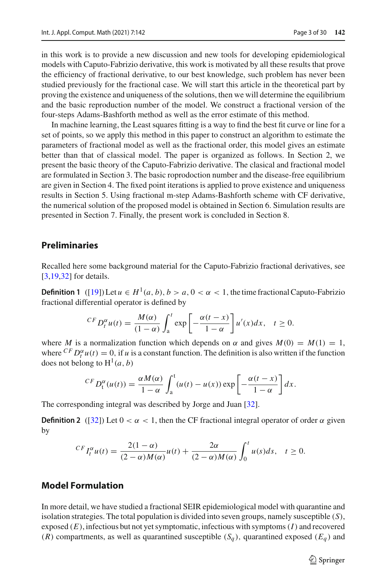in this work is to provide a new discussion and new tools for developing epidemiological models with Caputo-Fabrizio derivative, this work is motivated by all these results that prove the efficiency of fractional derivative, to our best knowledge, such problem has never been studied previously for the fractional case. We will start this article in the theoretical part by proving the existence and uniqueness of the solutions, then we will determine the equilibrium and the basic reproduction number of the model. We construct a fractional version of the four-steps Adams-Bashforth method as well as the error estimate of this method.

In machine learning, the Least squares fitting is a way to find the best fit curve or line for a set of points, so we apply this method in this paper to construct an algorithm to estimate the parameters of fractional model as well as the fractional order, this model gives an estimate better than that of classical model. The paper is organized as follows. In Section 2, we present the basic theory of the Caputo-Fabrizio derivative. The clasical and fractional model are formulated in Section 3. The basic roprodoction number and the disease-free equilibrium are given in Section 4. The fixed point iterations is applied to prove existence and uniqueness results in Section 5. Using fractional m-step Adams-Bashforth scheme with CF derivative, the numerical solution of the proposed model is obtained in Section 6. Simulation results are presented in Section 7. Finally, the present work is concluded in Section 8.

### **Preliminaries**

Recalled here some background material for the Caputo-Fabrizio fractional derivatives, see [\[3](#page-27-17)[,19](#page-27-7)[,32\]](#page-28-18) for details.

**Definition 1** ([\[19](#page-27-7)]) Let  $u \in H^1(a, b)$ ,  $b > a$ ,  $0 < \alpha < 1$ , the time fractional Caputo-Fabrizio fractional differential operator is defined by

$$
^{CF}D_t^{\alpha}u(t) = \frac{M(\alpha)}{(1-\alpha)} \int_a^t \exp\left[-\frac{\alpha(t-x)}{1-\alpha}\right] u'(x)dx, \quad t \ge 0.
$$

where *M* is a normalization function which depends on  $\alpha$  and gives  $M(0) = M(1) = 1$ , where  ${}^{CF}D_t^{\alpha}u(t) = 0$ , if *u* is a constant function. The definition is also written if the function does not belong to  $H^1(a, b)$ 

$$
^{CF}D_t^{\alpha}(u(t)) = \frac{\alpha M(\alpha)}{1-\alpha} \int_a^t (u(t) - u(x)) \exp\left[-\frac{\alpha(t-x)}{1-\alpha}\right] dx.
$$

The corresponding integral was described by Jorge and Juan [\[32](#page-28-18)].

**Definition 2** ([\[32](#page-28-18)]) Let  $0 < \alpha < 1$ , then the CF fractional integral operator of order  $\alpha$  given by

$$
^{CF}I_t^{\alpha}u(t)=\frac{2(1-\alpha)}{(2-\alpha)M(\alpha)}u(t)+\frac{2\alpha}{(2-\alpha)M(\alpha)}\int_0^t u(s)ds,\quad t\geq 0.
$$

## **Model Formulation**

In more detail, we have studied a fractional SEIR epidemiological model with quarantine and isolation strategies. The total population is divided into seven groups, namely susceptible (*S*), exposed (*E*), infectious but not yet symptomatic, infectious with symptoms(*I*) and recovered  $(R)$  compartments, as well as quarantined susceptible  $(S_q)$ , quarantined exposed  $(E_q)$  and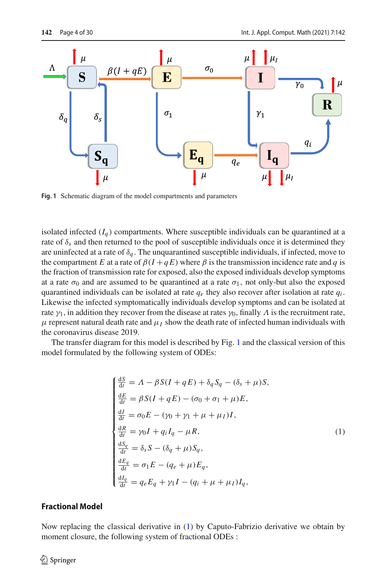

<span id="page-3-0"></span>**Fig. 1** Schematic diagram of the model compartments and parameters

isolated infected  $(I<sub>a</sub>)$  compartments. Where susceptible individuals can be quarantined at a rate of  $\delta_s$  and then returned to the pool of susceptible individuals once it is determined they are uninfected at a rate of  $\delta_q$ . The unquarantined susceptible individuals, if infected, move to the compartment *E* at a rate of  $\beta(I+qE)$  where  $\beta$  is the transmission incidence rate and *q* is the fraction of transmission rate for exposed, also the exposed individuals develop symptoms at a rate  $\sigma_0$  and are assumed to be quarantined at a rate  $\sigma_1$ , not only-but also the exposed quarantined individuals can be isolated at rate  $q_e$  they also recover after isolation at rate  $q_i$ . Likewise the infected symptomatically individuals develop symptoms and can be isolated at rate  $\gamma_1$ , in addition they recover from the disease at rates  $\gamma_0$ , finally  $\Lambda$  is the recruitment rate,  $\mu$  represent natural death rate and  $\mu_I$  show the death rate of infected human individuals with the coronavirus disease 2019.

The transfer diagram for this model is described by Fig. [1](#page-3-0) and the classical version of this model formulated by the following system of ODEs:

<span id="page-3-1"></span>
$$
\begin{cases}\n\frac{dS}{dt} = \Lambda - \beta S(I + qE) + \delta_q S_q - (\delta_s + \mu)S, \\
\frac{dE}{dt} = \beta S(I + qE) - (\sigma_0 + \sigma_1 + \mu)E, \\
\frac{dI}{dt} = \sigma_0 E - (\gamma_0 + \gamma_1 + \mu + \mu_I)I, \\
\frac{dR}{dt} = \gamma_0 I + q_i I_q - \mu R, \\
\frac{dS_q}{dt} = \delta_s S - (\delta_q + \mu)S_q, \\
\frac{dE_q}{dt} = \sigma_1 E - (q_e + \mu)E_q, \\
\frac{dI_q}{dt} = q_e E_q + \gamma_1 I - (q_i + \mu + \mu_I)I_q,\n\end{cases}
$$
\n(1)

#### **Fractional Model**

Now replacing the classical derivative in [\(1\)](#page-3-1) by Caputo-Fabrizio derivative we obtain by moment closure, the following system of fractional ODEs :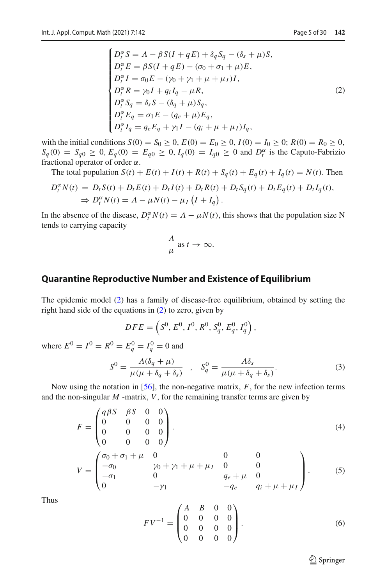<span id="page-4-0"></span>
$$
\begin{cases}\nD_t^{\alpha} S = \Lambda - \beta S (I + q E) + \delta_q S_q - (\delta_s + \mu) S, \\
D_t^{\alpha} E = \beta S (I + q E) - (\sigma_0 + \sigma_1 + \mu) E, \\
D_t^{\alpha} I = \sigma_0 E - (\gamma_0 + \gamma_1 + \mu + \mu_I) I, \\
D_t^{\alpha} R = \gamma_0 I + q_i I_q - \mu R, \\
D_t^{\alpha} S_q = \delta_s S - (\delta_q + \mu) S_q, \\
D_t^{\alpha} E_q = \sigma_1 E - (q_e + \mu) E_q, \\
D_t^{\alpha} I_q = q_e E_q + \gamma_1 I - (q_i + \mu + \mu_I) I_q,\n\end{cases} (2)
$$

with the initial conditions  $S(0) = S_0 \ge 0$ ,  $E(0) = E_0 \ge 0$ ,  $I(0) = I_0 \ge 0$ ;  $R(0) = R_0 \ge 0$ ,  $S_q(0) = S_{q0} \ge 0$ ,  $E_q(0) = E_{q0} \ge 0$ ,  $I_q(0) = I_{q0} \ge 0$  and  $D_t^{\alpha}$  is the Caputo-Fabrizio fractional operator of order  $\alpha$ .

The total population  $S(t) + E(t) + I(t) + R(t) + S_a(t) + E_a(t) + I_a(t) = N(t)$ . Then

$$
D_t^{\alpha} N(t) = D_t S(t) + D_t E(t) + D_t I(t) + D_t R(t) + D_t S_q(t) + D_t E_q(t) + D_t I_q(t),
$$
  
\n
$$
\Rightarrow D_t^{\alpha} N(t) = \Lambda - \mu N(t) - \mu_I (I + I_q).
$$

In the absence of the disease,  $D_t^{\alpha} N(t) = \Lambda - \mu N(t)$ , this shows that the population size N tends to carrying capacity

$$
\frac{\Lambda}{\mu} \text{ as } t \to \infty.
$$

#### **Quarantine Reproductive Number and Existence of Equilibrium**

The epidemic model [\(2\)](#page-4-0) has a family of disease-free equilibrium, obtained by setting the right hand side of the equations in [\(2\)](#page-4-0) to zero, given by

$$
DFE = \left(S^0, E^0, I^0, R^0, S_q^0, E_q^0, I_q^0\right),
$$

where  $E^0 = I^0 = R^0 = E_q^0 = I_q^0 = 0$  and

<span id="page-4-1"></span>
$$
S^{0} = \frac{\Lambda(\delta_{q} + \mu)}{\mu(\mu + \delta_{q} + \delta_{s})} \quad , \quad S_{q}^{0} = \frac{\Lambda\delta_{s}}{\mu(\mu + \delta_{q} + \delta_{s})}.
$$
 (3)

Now using the notation in [\[56](#page-29-15)], the non-negative matrix, *F*, for the new infection terms and the non-singular  $M$  -matrix,  $V$ , for the remaining transfer terms are given by

$$
F = \begin{pmatrix} q\beta S & \beta S & 0 & 0 \\ 0 & 0 & 0 & 0 \\ 0 & 0 & 0 & 0 \\ 0 & 0 & 0 & 0 \end{pmatrix}.
$$
 (4)

$$
V = \begin{pmatrix} \sigma_0 + \sigma_1 + \mu & 0 & 0 & 0 \\ -\sigma_0 & \gamma_0 + \gamma_1 + \mu + \mu_I & 0 & 0 \\ -\sigma_1 & 0 & q_e + \mu & 0 \\ 0 & -\gamma_1 & -q_e & q_i + \mu + \mu_I \end{pmatrix}.
$$
 (5)

Thus

$$
FV^{-1} = \begin{pmatrix} A & B & 0 & 0 \\ 0 & 0 & 0 & 0 \\ 0 & 0 & 0 & 0 \\ 0 & 0 & 0 & 0 \end{pmatrix} . \tag{6}
$$

 $\hat{\mathfrak{D}}$  Springer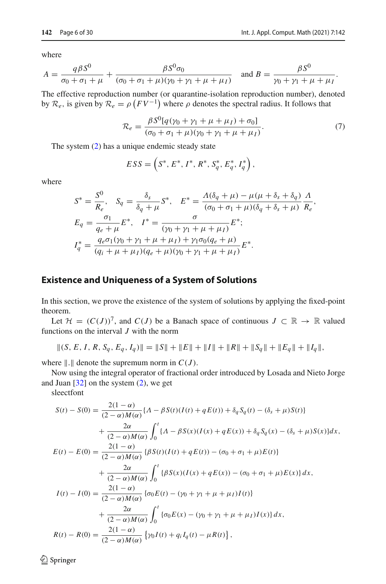where

$$
A = \frac{q\beta S^{0}}{\sigma_{0} + \sigma_{1} + \mu} + \frac{\beta S^{0} \sigma_{0}}{(\sigma_{0} + \sigma_{1} + \mu)(\gamma_{0} + \gamma_{1} + \mu + \mu_{I})} \quad \text{and } B = \frac{\beta S^{0}}{\gamma_{0} + \gamma_{1} + \mu + \mu_{I}}.
$$

The effective reproduction number (or quarantine-isolation reproduction number), denoted by  $\mathcal{R}_e$ , is given by  $\mathcal{R}_e = \rho \left( FV^{-1} \right)$  where  $\rho$  denotes the spectral radius. It follows that

<span id="page-5-0"></span>
$$
\mathcal{R}_e = \frac{\beta S^0 [q(\gamma_0 + \gamma_1 + \mu + \mu_I) + \sigma_0]}{(\sigma_0 + \sigma_1 + \mu)(\gamma_0 + \gamma_1 + \mu + \mu_I)}.
$$
\n(7)

The system [\(2\)](#page-4-0) has a unique endemic steady state

$$
ESS = (S^*, E^*, I^*, R^*, S_q^*, E_q^*, I_q^*)
$$

where

$$
S^* = \frac{S^0}{R_e}, \quad S_q = \frac{\delta_s}{\delta_q + \mu} S^*, \quad E^* = \frac{\Lambda(\delta_q + \mu) - \mu(\mu + \delta_s + \delta_q)}{(\sigma_0 + \sigma_1 + \mu)(\delta_q + \delta_s + \mu)} \frac{\Lambda}{R_e},
$$
  
\n
$$
E_q = \frac{\sigma_1}{q_e + \mu} E^*, \quad I^* = \frac{\sigma}{(\gamma_0 + \gamma_1 + \mu + \mu_I)} E^*;
$$
  
\n
$$
I_q^* = \frac{q_e \sigma_1(\gamma_0 + \gamma_1 + \mu + \mu_I) + \gamma_1 \sigma_0 (q_e + \mu)}{(q_i + \mu + \mu_I)(q_e + \mu)(\gamma_0 + \gamma_1 + \mu + \mu_I)} E^*.
$$

### **Existence and Uniqueness of a System of Solutions**

In this section, we prove the existence of the system of solutions by applying the fixed-point theorem.

Let  $\mathcal{H} = (C(J))^7$ , and  $C(J)$  be a Banach space of continuous  $J \subset \mathbb{R} \to \mathbb{R}$  valued functions on the interval *J* with the norm

$$
||(S, E, I, R, S_q, E_q, I_q)|| = ||S|| + ||E|| + ||I|| + ||R|| + ||S_q|| + ||E_q|| + ||I_q||,
$$

where  $\| \cdot \|$  denote the supremum norm in  $C(J)$ .

Now using the integral operator of fractional order introduced by Losada and Nieto Jorge and Juan  $[32]$  on the system  $(2)$ , we get

sleectfont

$$
S(t) - S(0) = \frac{2(1 - \alpha)}{(2 - \alpha)M(\alpha)} \{A - \beta S(t)(I(t) + qE(t)) + \delta_q S_q(t) - (\delta_s + \mu)S(t)\}\
$$
  
+ 
$$
\frac{2\alpha}{(2 - \alpha)M(\alpha)} \int_0^t \{A - \beta S(x)(I(x) + qE(x)) + \delta_q S_q(x) - (\delta_s + \mu)S(x)\} dx,
$$
  

$$
E(t) - E(0) = \frac{2(1 - \alpha)}{(2 - \alpha)M(\alpha)} \{ \beta S(t)(I(t) + qE(t)) - (\sigma_0 + \sigma_1 + \mu)E(t) \}
$$
  
+ 
$$
\frac{2\alpha}{(2 - \alpha)M(\alpha)} \int_0^t \{ \beta S(x)(I(x) + qE(x)) - (\sigma_0 + \sigma_1 + \mu)E(x) \} dx,
$$
  

$$
I(t) - I(0) = \frac{2(1 - \alpha)}{(2 - \alpha)M(\alpha)} \{ \sigma_0 E(t) - (\gamma_0 + \gamma_1 + \mu + \mu_1)I(t) \}
$$
  
+ 
$$
\frac{2\alpha}{(2 - \alpha)M(\alpha)} \int_0^t \{ \sigma_0 E(x) - (\gamma_0 + \gamma_1 + \mu + \mu_1)I(x) \} dx,
$$
  

$$
R(t) - R(0) = \frac{2(1 - \alpha)}{(2 - \alpha)M(\alpha)} \{ \gamma_0 I(t) + q_i I_q(t) - \mu R(t) \},
$$

 $\bigcirc$  Springer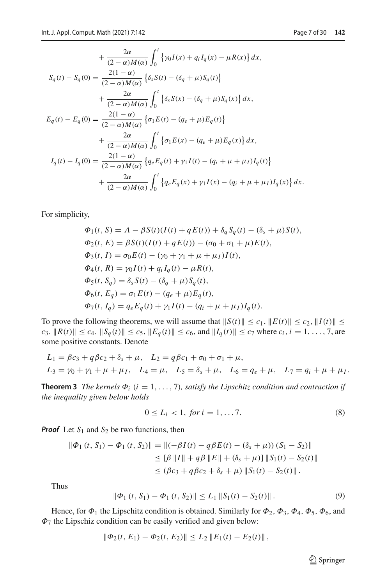$$
+\frac{2\alpha}{(2-\alpha)M(\alpha)}\int_0^t \left\{\gamma_0 I(x) + q_i I_q(x) - \mu R(x)\right\} dx,
$$
  
\n
$$
S_q(t) - S_q(0) = \frac{2(1-\alpha)}{(2-\alpha)M(\alpha)} \left\{\delta_s S(t) - (\delta_q + \mu)S_q(t)\right\}
$$
  
\n
$$
+\frac{2\alpha}{(2-\alpha)M(\alpha)} \int_0^t \left\{\delta_s S(x) - (\delta_q + \mu)S_q(x)\right\} dx,
$$
  
\n
$$
E_q(t) - E_q(0) = \frac{2(1-\alpha)}{(2-\alpha)M(\alpha)} \left\{\sigma_1 E(t) - (q_e + \mu)E_q(t)\right\}
$$
  
\n
$$
+\frac{2\alpha}{(2-\alpha)M(\alpha)} \int_0^t \left\{\sigma_1 E(x) - (q_e + \mu)E_q(x)\right\} dx,
$$
  
\n
$$
I_q(t) - I_q(0) = \frac{2(1-\alpha)}{(2-\alpha)M(\alpha)} \left\{q_e E_q(t) + \gamma_1 I(t) - (q_i + \mu + \mu_1)I_q(t)\right\}
$$
  
\n
$$
+\frac{2\alpha}{(2-\alpha)M(\alpha)} \int_0^t \left\{q_e E_q(x) + \gamma_1 I(x) - (q_i + \mu + \mu_1)I_q(x)\right\} dx.
$$

For simplicity,

$$
\Phi_1(t, S) = A - \beta S(t)(I(t) + qE(t)) + \delta_q S_q(t) - (\delta_s + \mu)S(t),
$$
  
\n
$$
\Phi_2(t, E) = \beta S(t)(I(t) + qE(t)) - (\sigma_0 + \sigma_1 + \mu)E(t),
$$
  
\n
$$
\Phi_3(t, I) = \sigma_0 E(t) - (\gamma_0 + \gamma_1 + \mu + \mu_I)I(t),
$$
  
\n
$$
\Phi_4(t, R) = \gamma_0 I(t) + q_i I_q(t) - \mu R(t),
$$
  
\n
$$
\Phi_5(t, S_q) = \delta_s S(t) - (\delta_q + \mu) S_q(t),
$$
  
\n
$$
\Phi_6(t, E_q) = \sigma_1 E(t) - (q_e + \mu) E_q(t),
$$
  
\n
$$
\Phi_7(t, I_q) = q_e E_q(t) + \gamma_1 I(t) - (q_i + \mu + \mu_I) I_q(t).
$$

To prove the following theorems, we will assume that  $||S(t)|| \le c_1$ ,  $||E(t)|| \le c_2$ ,  $||I(t)|| \le$  $c_3$ ,  $||R(t)|| \le c_4$ ,  $||S_q(t)|| \le c_5$ ,  $||E_q(t)|| \le c_6$ , and  $||I_q(t)|| \le c_7$  where  $c_i$ ,  $i = 1, ..., 7$ , are some positive constants. Denote

$$
L_1 = \beta c_3 + q \beta c_2 + \delta_s + \mu, \quad L_2 = q \beta c_1 + \sigma_0 + \sigma_1 + \mu,
$$
  
\n
$$
L_3 = \gamma_0 + \gamma_1 + \mu + \mu_I, \quad L_4 = \mu, \quad L_5 = \delta_s + \mu, \quad L_6 = q_e + \mu, \quad L_7 = q_i + \mu + \mu_I.
$$

**Theorem 3** *The kernels*  $\Phi_i$  ( $i = 1, ..., 7$ )*, satisfy the Lipschitz condition and contraction if the inequality given below holds*

$$
0 \le L_i < 1, \text{ for } i = 1, \dots, 7. \tag{8}
$$

*Proof* Let  $S_1$  and  $S_2$  be two functions, then

$$
\begin{aligned} \|\Phi_1(t, S_1) - \Phi_1(t, S_2)\| &= \|(-\beta I(t) - q\beta E(t) - (\delta_s + \mu))\,(S_1 - S_2)\| \\ &\leq [\beta\, \|I\| + q\beta\, \|E\| + (\delta_s + \mu)\| \, \|S_1(t) - S_2(t)\| \\ &\leq (\beta c_3 + q\beta c_2 + \delta_s + \mu)\, \|S_1(t) - S_2(t)\| \, .\end{aligned}
$$

Thus

<span id="page-6-0"></span>
$$
\|\Phi_1(t, S_1) - \Phi_1(t, S_2)\| \le L_1 \|S_1(t) - S_2(t)\|.
$$
 (9)

Hence, for  $\Phi_1$  the Lipschitz condition is obtained. Similarly for  $\Phi_2$ ,  $\Phi_3$ ,  $\Phi_4$ ,  $\Phi_5$ ,  $\Phi_6$ , and  $\Phi$ <sub>7</sub> the Lipschiz condition can be easily verified and given below:

$$
\|\Phi_2(t, E_1) - \Phi_2(t, E_2)\| \le L_2 \|E_1(t) - E_2(t)\|,
$$

 $\bigcirc$  Springer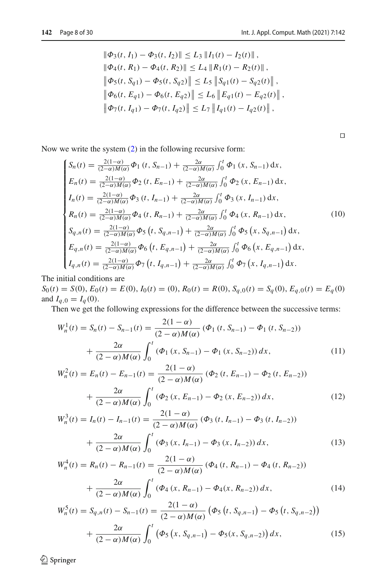$$
\|\Phi_3(t, I_1) - \Phi_3(t, I_2)\| \le L_3 \|I_1(t) - I_2(t)\|,
$$
  

$$
\|\Phi_4(t, R_1) - \Phi_4(t, R_2)\| \le L_4 \|R_1(t) - R_2(t)\|,
$$
  

$$
\|\Phi_5(t, S_{q1}) - \Phi_5(t, S_{q2})\| \le L_5 \|S_{q1}(t) - S_{q2}(t)\|,
$$
  

$$
\|\Phi_6(t, E_{q1}) - \Phi_6(t, E_{q2})\| \le L_6 \|E_{q1}(t) - E_{q2}(t)\|,
$$
  

$$
\|\Phi_7(t, I_{q1}) - \Phi_7(t, I_{q2})\| \le L_7 \|I_{q1}(t) - I_{q2}(t)\|,
$$

<span id="page-7-0"></span> $\Box$ 

Now we write the system [\(2\)](#page-4-0) in the following recursive form:

$$
\begin{cases}\nS_n(t) = \frac{2(1-\alpha)}{(2-\alpha)M(\alpha)} \Phi_1(t, S_{n-1}) + \frac{2\alpha}{(2-\alpha)M(\alpha)} \int_0^t \Phi_1(x, S_{n-1}) dx, \\
E_n(t) = \frac{2(1-\alpha)}{(2-\alpha)M(\alpha)} \Phi_2(t, E_{n-1}) + \frac{2\alpha}{(2-\alpha)M(\alpha)} \int_0^t \Phi_2(x, E_{n-1}) dx, \\
I_n(t) = \frac{2(1-\alpha)}{(2-\alpha)M(\alpha)} \Phi_3(t, I_{n-1}) + \frac{2\alpha}{(2-\alpha)M(\alpha)} \int_0^t \Phi_3(x, I_{n-1}) dx, \\
R_n(t) = \frac{2(1-\alpha)}{(2-\alpha)M(\alpha)} \Phi_4(t, R_{n-1}) + \frac{2\alpha}{(2-\alpha)M(\alpha)} \int_0^t \Phi_4(x, R_{n-1}) dx, \\
S_{q,n}(t) = \frac{2(1-\alpha)}{(2-\alpha)M(\alpha)} \Phi_5(t, S_{q,n-1}) + \frac{2\alpha}{(2-\alpha)M(\alpha)} \int_0^t \Phi_5(x, S_{q,n-1}) dx, \\
E_{q,n}(t) = \frac{2(1-\alpha)}{(2-\alpha)M(\alpha)} \Phi_6(t, E_{q,n-1}) + \frac{2\alpha}{(2-\alpha)M(\alpha)} \int_0^t \Phi_6(x, E_{q,n-1}) dx, \\
I_{q,n}(t) = \frac{2(1-\alpha)}{(2-\alpha)M(\alpha)} \Phi_7(t, I_{q,n-1}) + \frac{2\alpha}{(2-\alpha)M(\alpha)} \int_0^t \Phi_7(x, I_{q,n-1}) dx.\n\end{cases} (10)
$$

The initial conditions are

 $S_0(t) = S(0), E_0(t) = E(0), I_0(t) = (0), R_0(t) = R(0), S_{q,0}(t) = S_q(0), E_{q,0}(t) = E_q(0)$ and  $I_{q,0} = I_q(0)$ .

Then we get the following expressions for the difference between the successive terms:

$$
W_n^1(t) = S_n(t) - S_{n-1}(t) = \frac{2(1-\alpha)}{(2-\alpha)M(\alpha)} (\Phi_1(t, S_{n-1}) - \Phi_1(t, S_{n-2}))
$$
  
+ 
$$
\frac{2\alpha}{(2-\alpha)M(\alpha)} \int_0^t (\Phi_1(x, S_{n-1}) - \Phi_1(x, S_{n-2})) dx,
$$
 (11)

$$
W_n^2(t) = E_n(t) - E_{n-1}(t) = \frac{2(1-\alpha)}{(2-\alpha)M(\alpha)} (\Phi_2(t, E_{n-1}) - \Phi_2(t, E_{n-2})) + \frac{2\alpha}{(2-\alpha)M(\alpha)} \int_0^t (\Phi_2(x, E_{n-1}) - \Phi_2(x, E_{n-2})) dx,
$$
\n(12)

$$
W_n^3(t) = I_n(t) - I_{n-1}(t) = \frac{2(1-\alpha)}{(2-\alpha)M(\alpha)} (\Phi_3(t, I_{n-1}) - \Phi_3(t, I_{n-2}))
$$
  
+ 
$$
\frac{2\alpha}{(2-\alpha)M(\alpha)} \int_0^t (\Phi_3(x, I_{n-1}) - \Phi_3(x, I_{n-2})) dx,
$$
 (13)

$$
W_n^4(t) = R_n(t) - R_{n-1}(t) = \frac{2(1-\alpha)}{(2-\alpha)M(\alpha)} \left( \Phi_4(t, R_{n-1}) - \Phi_4(t, R_{n-2}) \right)
$$

$$
+ \frac{2\alpha}{(2-\alpha)M(\alpha)} \int_0^t \left( \Phi_4(x, R_{n-1}) - \Phi_4(x, R_{n-2}) \right) dx,
$$
(14)

$$
W_n^5(t) = S_{q,n}(t) - S_{n-1}(t) = \frac{2(1-\alpha)}{(2-\alpha)M(\alpha)} \left( \Phi_5 \left( t, S_{q,n-1} \right) - \Phi_5 \left( t, S_{q,n-2} \right) \right) + \frac{2\alpha}{(2-\alpha)M(\alpha)} \int_0^t \left( \Phi_5 \left( x, S_{q,n-1} \right) - \Phi_5(x, S_{q,n-2}) \right) dx,
$$
 (15)

 $\hat{Z}$  Springer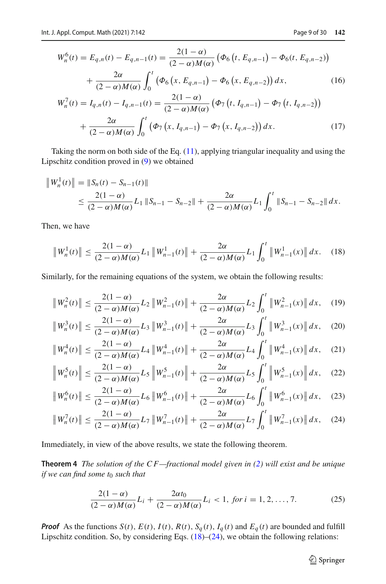$$
W_n^6(t) = E_{q,n}(t) - E_{q,n-1}(t) = \frac{2(1-\alpha)}{(2-\alpha)M(\alpha)} \left( \Phi_6 \left( t, E_{q,n-1} \right) - \Phi_6(t, E_{q,n-2}) \right) + \frac{2\alpha}{(2-\alpha)M(\alpha)} \int_0^t \left( \Phi_6 \left( x, E_{q,n-1} \right) - \Phi_6 \left( x, E_{q,n-2} \right) \right) dx, \tag{16}
$$

$$
W_n^7(t) = I_{q,n}(t) - I_{q,n-1}(t) = \frac{2(1-\alpha)}{(2-\alpha)M(\alpha)} \left( \Phi_7 \left( t, I_{q,n-1} \right) - \Phi_7 \left( t, I_{q,n-2} \right) \right) + \frac{2\alpha}{(2-\alpha)M(\alpha)} \int_0^t \left( \Phi_7 \left( x, I_{q,n-1} \right) - \Phi_7 \left( x, I_{q,n-2} \right) \right) dx.
$$
 (17)

Taking the norm on both side of the Eq.  $(11)$ , applying triangular inequality and using the Lipschitz condition proved in [\(9\)](#page-6-0) we obtained

$$
\|W_n^1(t)\| = \|S_n(t) - S_{n-1}(t)\|
$$
  
\n
$$
\leq \frac{2(1-\alpha)}{(2-\alpha)M(\alpha)} L_1 \|S_{n-1} - S_{n-2}\| + \frac{2\alpha}{(2-\alpha)M(\alpha)} L_1 \int_0^t \|S_{n-1} - S_{n-2}\| dx.
$$

Then, we have

<span id="page-8-0"></span>
$$
\|W_n^1(t)\| \le \frac{2(1-\alpha)}{(2-\alpha)M(\alpha)} L_1 \|W_{n-1}^1(t)\| + \frac{2\alpha}{(2-\alpha)M(\alpha)} L_1 \int_0^t \|W_{n-1}^1(x)\| dx. \tag{18}
$$

Similarly, for the remaining equations of the system, we obtain the following results:

$$
\|W_n^2(t)\| \le \frac{2(1-\alpha)}{(2-\alpha)M(\alpha)} L_2 \|W_{n-1}^2(t)\| + \frac{2\alpha}{(2-\alpha)M(\alpha)} L_2 \int_0^t \|W_{n-1}^2(x)\| dx, \quad (19)
$$

$$
\|W_n^3(t)\| \le \frac{2(1-\alpha)}{(2-\alpha)M(\alpha)} L_3 \|W_{n-1}^3(t)\| + \frac{2\alpha}{(2-\alpha)M(\alpha)} L_3 \int_0^t \|W_{n-1}^3(x)\| dx, \quad (20)
$$

$$
\|W_n^4(t)\| \le \frac{2(1-\alpha)}{(2-\alpha)M(\alpha)} L_4 \|W_{n-1}^4(t)\| + \frac{2\alpha}{(2-\alpha)M(\alpha)} L_4 \int_0^t \|W_{n-1}^4(x)\| dx, \quad (21)
$$

$$
\left\|W_n^5(t)\right\| \le \frac{2(1-\alpha)}{(2-\alpha)M(\alpha)} L_5 \left\|W_{n-1}^5(t)\right\| + \frac{2\alpha}{(2-\alpha)M(\alpha)} L_5 \int_0^t \left\|W_{n-1}^5(x)\right\| dx, \quad (22)
$$

$$
\|W_n^6(t)\| \le \frac{2(1-\alpha)}{(2-\alpha)M(\alpha)} L_6 \|W_{n-1}^6(t)\| + \frac{2\alpha}{(2-\alpha)M(\alpha)} L_6 \int_0^t \|W_{n-1}^6(x)\| dx, \quad (23)
$$

$$
\|W_n^7(t)\| \le \frac{2(1-\alpha)}{(2-\alpha)M(\alpha)} L_7 \|W_{n-1}^7(t)\| + \frac{2\alpha}{(2-\alpha)M(\alpha)} L_7 \int_0^t \|W_{n-1}^7(x)\| dx, \quad (24)
$$

Immediately, in view of the above results, we state the following theorem.

**Theorem 4** *The solution of the C F—fractional model given in [\(2\)](#page-4-0) will exist and be unique if we can find some t*<sub>0</sub> *such that* 

<span id="page-8-2"></span>
$$
\frac{2(1-\alpha)}{(2-\alpha)M(\alpha)}L_i + \frac{2\alpha t_0}{(2-\alpha)M(\alpha)}L_i < 1, \text{ for } i = 1, 2, ..., 7.
$$
 (25)

*Proof* As the functions  $S(t)$ ,  $E(t)$ ,  $I(t)$ ,  $R(t)$ ,  $S_q(t)$ ,  $I_q(t)$  and  $E_q(t)$  are bounded and fulfill Lipschitz condition. So, by considering Eqs.  $(18)$ – $(24)$ , we obtain the following relations:

<span id="page-8-1"></span> $\bigcirc$  Springer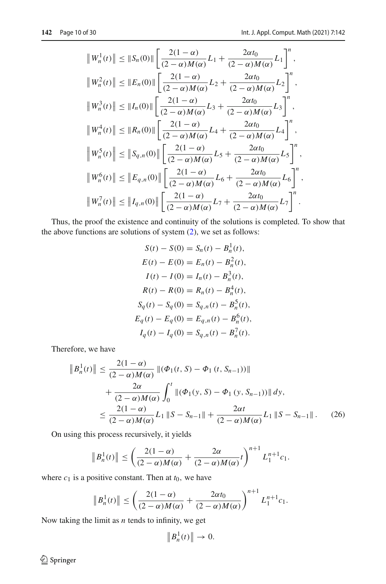$$
\|W_n^1(t)\| \le \|S_n(0)\| \left[ \frac{2(1-\alpha)}{(2-\alpha)M(\alpha)} L_1 + \frac{2\alpha t_0}{(2-\alpha)M(\alpha)} L_1 \right]^n,
$$
  

$$
\|W_n^2(t)\| \le \|E_n(0)\| \left[ \frac{2(1-\alpha)}{(2-\alpha)M(\alpha)} L_2 + \frac{2\alpha t_0}{(2-\alpha)M(\alpha)} L_2 \right]^n,
$$
  

$$
\|W_n^3(t)\| \le \|I_n(0)\| \left[ \frac{2(1-\alpha)}{(2-\alpha)M(\alpha)} L_3 + \frac{2\alpha t_0}{(2-\alpha)M(\alpha)} L_3 \right]^n,
$$
  

$$
\|W_n^4(t)\| \le \|R_n(0)\| \left[ \frac{2(1-\alpha)}{(2-\alpha)M(\alpha)} L_4 + \frac{2\alpha t_0}{(2-\alpha)M(\alpha)} L_4 \right]^n,
$$
  

$$
\|W_n^5(t)\| \le \|S_{q,n}(0)\| \left[ \frac{2(1-\alpha)}{(2-\alpha)M(\alpha)} L_5 + \frac{2\alpha t_0}{(2-\alpha)M(\alpha)} L_5 \right]^n,
$$
  

$$
\|W_n^6(t)\| \le \|E_{q,n}(0)\| \left[ \frac{2(1-\alpha)}{(2-\alpha)M(\alpha)} L_6 + \frac{2\alpha t_0}{(2-\alpha)M(\alpha)} L_6 \right]^n,
$$
  

$$
\|W_n^7(t)\| \le \|I_{q,n}(0)\| \left[ \frac{2(1-\alpha)}{(2-\alpha)M(\alpha)} L_7 + \frac{2\alpha t_0}{(2-\alpha)M(\alpha)} L_7 \right]^n.
$$

Thus, the proof the existence and continuity of the solutions is completed. To show that the above functions are solutions of system [\(2\)](#page-4-0), we set as follows:

$$
S(t) - S(0) = S_n(t) - B_n^1(t),
$$
  
\n
$$
E(t) - E(0) = E_n(t) - B_n^2(t),
$$
  
\n
$$
I(t) - I(0) = I_n(t) - B_n^3(t),
$$
  
\n
$$
R(t) - R(0) = R_n(t) - B_n^4(t),
$$
  
\n
$$
S_q(t) - S_q(0) = S_{q,n}(t) - B_n^5(t),
$$
  
\n
$$
E_q(t) - E_q(0) = E_{q,n}(t) - B_n^6(t),
$$
  
\n
$$
I_q(t) - I_q(0) = S_{q,n}(t) - B_n^7(t).
$$

Therefore, we have

$$
\|B_n^1(t)\| \le \frac{2(1-\alpha)}{(2-\alpha)M(\alpha)} \|(\Phi_1(t, S) - \Phi_1(t, S_{n-1}))\| + \frac{2\alpha}{(2-\alpha)M(\alpha)} \int_0^t \|(\Phi_1(y, S) - \Phi_1(y, S_{n-1}))\| dy, \le \frac{2(1-\alpha)}{(2-\alpha)M(\alpha)} L_1 \|S - S_{n-1}\| + \frac{2\alpha t}{(2-\alpha)M(\alpha)} L_1 \|S - S_{n-1}\|. \tag{26}
$$

On using this process recursively, it yields

$$
\|B_n^1(t)\| \le \left(\frac{2(1-\alpha)}{(2-\alpha)M(\alpha)} + \frac{2\alpha}{(2-\alpha)M(\alpha)}t\right)^{n+1}L_1^{n+1}c_1.
$$

where  $c_1$  is a positive constant. Then at  $t_0$ , we have

$$
\|B_n^1(t)\| \le \left(\frac{2(1-\alpha)}{(2-\alpha)M(\alpha)} + \frac{2\alpha t_0}{(2-\alpha)M(\alpha)}\right)^{n+1} L_1^{n+1}c_1.
$$

Now taking the limit as *n* tends to infinity, we get

$$
\|B_n^1(t)\| \to 0.
$$

 $\hat{Z}$  Springer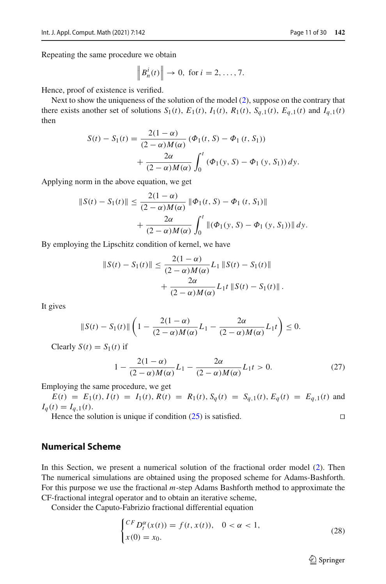$$
\left\|B_n^i(t)\right\| \to 0, \text{ for } i = 2, \dots, 7.
$$

Hence, proof of existence is verified.

Next to show the uniqueness of the solution of the model [\(2\)](#page-4-0), suppose on the contrary that there exists another set of solutions  $S_1(t)$ ,  $E_1(t)$ ,  $I_1(t)$ ,  $R_1(t)$ ,  $S_{q,1}(t)$ ,  $E_{q,1}(t)$  and  $I_{q,1}(t)$ then

$$
S(t) - S_1(t) = \frac{2(1 - \alpha)}{(2 - \alpha)M(\alpha)} (\Phi_1(t, S) - \Phi_1(t, S_1))
$$
  
+ 
$$
\frac{2\alpha}{(2 - \alpha)M(\alpha)} \int_0^t (\Phi_1(y, S) - \Phi_1(y, S_1)) dy.
$$

Applying norm in the above equation, we get

$$
||S(t) - S_1(t)|| \le \frac{2(1-\alpha)}{(2-\alpha)M(\alpha)} ||\Phi_1(t, S) - \Phi_1(t, S_1)||
$$
  
+ 
$$
\frac{2\alpha}{(2-\alpha)M(\alpha)} \int_0^t ||(\Phi_1(y, S) - \Phi_1(y, S_1))|| dy.
$$

By employing the Lipschitz condition of kernel, we have

$$
\|S(t) - S_1(t)\| \le \frac{2(1-\alpha)}{(2-\alpha)M(\alpha)} L_1 \|S(t) - S_1(t)\| + \frac{2\alpha}{(2-\alpha)M(\alpha)} L_1 t \|S(t) - S_1(t)\|.
$$

It gives

$$
\|S(t)-S_1(t)\|\left(1-\frac{2(1-\alpha)}{(2-\alpha)M(\alpha)}L_1-\frac{2\alpha}{(2-\alpha)M(\alpha)}L_1t\right)\leq 0.
$$

Clearly  $S(t) = S_1(t)$  if

$$
1 - \frac{2(1 - \alpha)}{(2 - \alpha)M(\alpha)}L_1 - \frac{2\alpha}{(2 - \alpha)M(\alpha)}L_1 t > 0.
$$
 (27)

Employing the same procedure, we get

 $E(t) = E_1(t), I(t) = I_1(t), R(t) = R_1(t), S_q(t) = S_{q,1}(t), E_q(t) = E_{q,1}(t)$  and  $I_q(t) = I_{q,1}(t)$ .

Hence the solution is unique if condition  $(25)$  is satisfied.

#### **Numerical Scheme**

In this Section, we present a numerical solution of the fractional order model [\(2\)](#page-4-0). Then The numerical simulations are obtained using the proposed scheme for Adams-Bashforth. For this purpose we use the fractional *m*-step Adams Bashforth method to approximate the CF-fractional integral operator and to obtain an iterative scheme,

Consider the Caputo-Fabrizio fractional differential equation

<span id="page-10-0"></span>
$$
\begin{cases} {}^{CF}D_t^{\alpha}(x(t)) = f(t, x(t)), & 0 < \alpha < 1, \\ x(0) = x_0. \end{cases}
$$
 (28)

 $\hat{\mathfrak{D}}$  Springer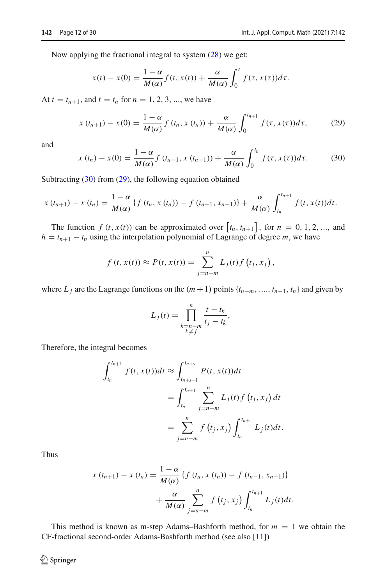Now applying the fractional integral to system  $(28)$  we get:

$$
x(t) - x(0) = \frac{1 - \alpha}{M(\alpha)} f(t, x(t)) + \frac{\alpha}{M(\alpha)} \int_0^t f(\tau, x(\tau))d\tau.
$$

At  $t = t_{n+1}$ , and  $t = t_n$  for  $n = 1, 2, 3, ...$ , we have

<span id="page-11-1"></span>
$$
x(t_{n+1}) - x(0) = \frac{1 - \alpha}{M(\alpha)} f(t_n, x(t_n)) + \frac{\alpha}{M(\alpha)} \int_0^{t_{n+1}} f(\tau, x(\tau)) d\tau,
$$
 (29)

and

<span id="page-11-0"></span>
$$
x(t_n) - x(0) = \frac{1 - \alpha}{M(\alpha)} f(t_{n-1}, x(t_{n-1})) + \frac{\alpha}{M(\alpha)} \int_0^{t_n} f(\tau, x(\tau)) d\tau.
$$
 (30)

Subtracting [\(30\)](#page-11-0) from [\(29\)](#page-11-1), the following equation obtained

$$
x(t_{n+1}) - x(t_n) = \frac{1-\alpha}{M(\alpha)} \{f(t_n, x(t_n)) - f(t_{n-1}, x_{n-1})\} + \frac{\alpha}{M(\alpha)} \int_{t_n}^{t_{n+1}} f(t, x(t)) dt.
$$

The function  $f(t, x(t))$  can be approximated over  $[t_n, t_{n+1}]$ , for  $n = 0, 1, 2, ...$ , and  $h = t_{n+1} - t_n$  using the interpolation polynomial of Lagrange of degree *m*, we have

$$
f(t, x(t)) \approx P(t, x(t)) = \sum_{j=n-m}^{n} L_j(t) f(t_j, x_j),
$$

where  $L_j$  are the Lagrange functions on the  $(m + 1)$  points  $\{t_{n-m}, \ldots, t_{n-1}, t_n\}$  and given by

$$
L_j(t) = \prod_{\substack{k=n-m \\ k \neq j}}^n \frac{t - t_k}{t_j - t_k},
$$

Therefore, the integral becomes

$$
\int_{t_n}^{t_{n+1}} f(t, x(t))dt \approx \int_{t_{n+s-1}}^{t_{n+s}} P(t, x(t))dt
$$
  
= 
$$
\int_{t_n}^{t_{n+1}} \sum_{j=n-m}^{n} L_j(t) f(t_j, x_j) dt
$$
  
= 
$$
\sum_{j=n-m}^{n} f(t_j, x_j) \int_{t_n}^{t_{n+1}} L_j(t) dt.
$$

Thus

$$
x(t_{n+1}) - x(t_n) = \frac{1 - \alpha}{M(\alpha)} \{f(t_n, x(t_n)) - f(t_{n-1}, x_{n-1})\} + \frac{\alpha}{M(\alpha)} \sum_{j=n-m}^{n} f(t_j, x_j) \int_{t_n}^{t_{n+1}} L_j(t) dt.
$$

This method is known as m-step Adams–Bashforth method, for  $m = 1$  we obtain the CF-fractional second-order Adams-Bashforth method (see also [\[11\]](#page-27-18))

 $\circled{2}$  Springer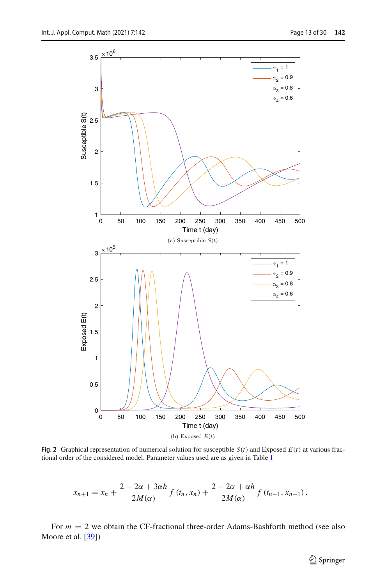

<span id="page-12-0"></span>**Fig. 2** Graphical representation of numerical solution for susceptible  $S(t)$  and Exposed  $E(t)$  at various fractional order of the considered model. Parameter values used are as given in Table [1](#page-16-0)

$$
x_{n+1} = x_n + \frac{2 - 2\alpha + 3\alpha h}{2M(\alpha)} f(t_n, x_n) + \frac{2 - 2\alpha + \alpha h}{2M(\alpha)} f(t_{n-1}, x_{n-1}).
$$

For  $m = 2$  we obtain the CF-fractional three-order Adams-Bashforth method (see also Moore et al. [\[39](#page-28-19)])

<sup>2</sup> Springer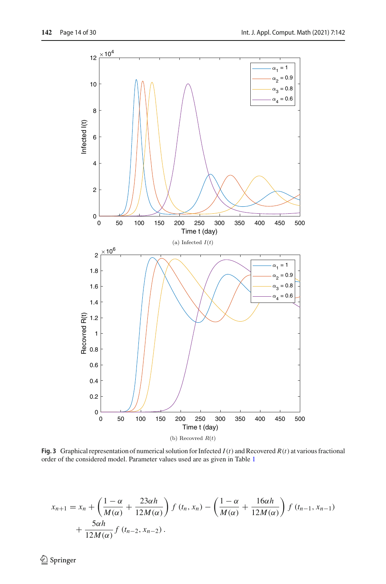

<span id="page-13-0"></span>**Fig. 3** Graphical representation of numerical solution for Infected  $I(t)$  and Recovered  $R(t)$  at various fractional order of the considered model. Parameter values used are as given in Table [1](#page-16-0)

$$
x_{n+1} = x_n + \left(\frac{1-\alpha}{M(\alpha)} + \frac{23\alpha h}{12M(\alpha)}\right) f(t_n, x_n) - \left(\frac{1-\alpha}{M(\alpha)} + \frac{16\alpha h}{12M(\alpha)}\right) f(t_{n-1}, x_{n-1}) + \frac{5\alpha h}{12M(\alpha)} f(t_{n-2}, x_{n-2}).
$$

 $\underline{\textcircled{\tiny 2}}$  Springer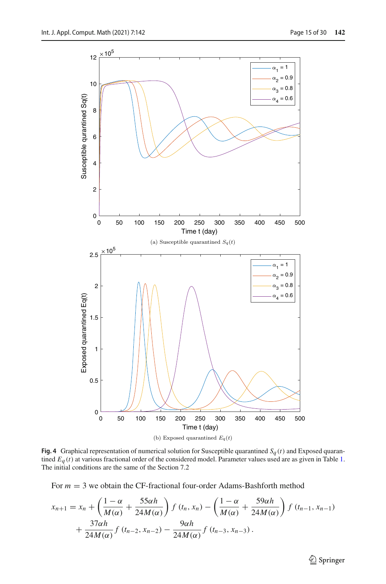

<span id="page-14-0"></span>**Fig. 4** Graphical representation of numerical solution for Susceptible quarantined  $S_q(t)$  and Exposed quarantined *Eq* (*t*) at various fractional order of the considered model. Parameter values used are as given in Table [1.](#page-16-0) The initial conditions are the same of the Section 7.2

For  $m = 3$  we obtain the CF-fractional four-order Adams-Bashforth method

$$
x_{n+1} = x_n + \left(\frac{1-\alpha}{M(\alpha)} + \frac{55\alpha h}{24M(\alpha)}\right) f(t_n, x_n) - \left(\frac{1-\alpha}{M(\alpha)} + \frac{59\alpha h}{24M(\alpha)}\right) f(t_{n-1}, x_{n-1}) + \frac{37\alpha h}{24M(\alpha)} f(t_{n-2}, x_{n-2}) - \frac{9\alpha h}{24M(\alpha)} f(t_{n-3}, x_{n-3}).
$$

<sup>2</sup> Springer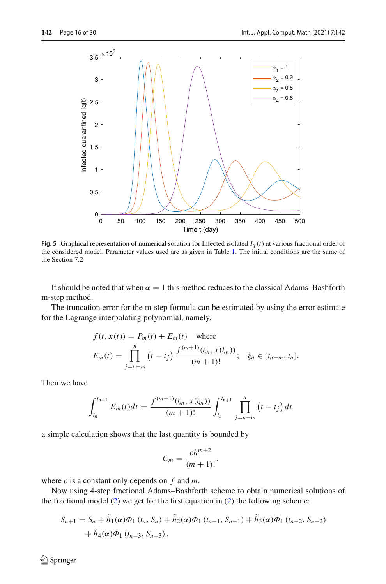

<span id="page-15-0"></span>**Fig. 5** Graphical representation of numerical solution for Infected isolated *Iq* (*t*) at various fractional order of the considered model. Parameter values used are as given in Table [1.](#page-16-0) The initial conditions are the same of the Section 7.2

It should be noted that when  $\alpha = 1$  this method reduces to the classical Adams–Bashforth m-step method.

The truncation error for the m-step formula can be estimated by using the error estimate for the Lagrange interpolating polynomial, namely,

$$
f(t, x(t)) = P_m(t) + E_m(t)
$$
 where  

$$
E_m(t) = \prod_{j=n-m}^{n} (t - t_j) \frac{f^{(m+1)}(\xi_n, x(\xi_n))}{(m+1)!}; \quad \xi_n \in [t_{n-m}, t_n].
$$

Then we have

$$
\int_{t_n}^{t_{n+1}} E_m(t)dt = \frac{f^{(m+1)}(\xi_n, x(\xi_n))}{(m+1)!} \int_{t_n}^{t_{n+1}} \prod_{j=n-m}^n (t-t_j) dt
$$

a simple calculation shows that the last quantity is bounded by

$$
C_m = \frac{ch^{m+2}}{(m+1)!}.
$$

where *c* is a constant only depends on *f* and *m*.

Now using 4-step fractional Adams–Bashforth scheme to obtain numerical solutions of the fractional model  $(2)$  we get for the first equation in  $(2)$  the following scheme:

$$
S_{n+1} = S_n + \tilde{h}_1(\alpha)\Phi_1(t_n, S_n) + \tilde{h}_2(\alpha)\Phi_1(t_{n-1}, S_{n-1}) + \tilde{h}_3(\alpha)\Phi_1(t_{n-2}, S_{n-2})
$$
  
+  $\tilde{h}_4(\alpha)\Phi_1(t_{n-3}, S_{n-3}).$ 

 $\bigcirc$  Springer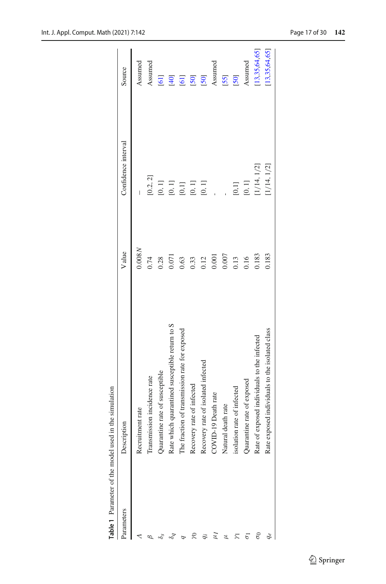|                          | Table 1 Parameter of the model used in the simulation |        |                                |                  |
|--------------------------|-------------------------------------------------------|--------|--------------------------------|------------------|
| Parameters               | ription                                               | V alue | Confidence interval            | Source           |
|                          | uitment rate<br>Recn                                  | 0.008N | $\begin{array}{c} \end{array}$ | Assumed          |
|                          | Transmission incidence rate                           | 0.74   | [0.2, 2]                       | Assumed          |
|                          | Quarantine rate of susceptible                        | 0.28   | $[0,1]$                        | $[61]$           |
|                          | Rate which quarantined susceptible return to S        | 0.071  | $[0,1]$                        | [40]             |
|                          | The fraction of transmission rate for exposed         | 0.63   | $[0,1]$                        | $\overline{61}$  |
| R                        | Recovery rate of infected                             | 0.33   | $\left[0,1\right]$             | [50]             |
|                          | Recovery rate of isolated infected                    | 0.12   | [0, 1]                         | [50]             |
| $\ddot{q}$               | COVID-19 Death rate                                   | 0.001  |                                | Assumed          |
| $\mu$                    | Natural death rate                                    | 0.007  |                                | [55]             |
| $\overline{\mathcal{L}}$ | isolation rate of infected                            | 0.13   | [0,1]                          | [50]             |
| $\overline{\sigma}$      | Quarantine rate of exposed                            | 0.16   | $[0,1]$                        | Assumed          |
| $\delta$                 | Rate of exposed individuals to the infected           | 0.183  | [1/14, 1/2]                    | [13, 35, 64, 65] |
|                          | Rate exposed individuals to the isolated class        | 0.183  | 1/14, 1/2                      | [13, 35, 64, 65] |
|                          |                                                       |        |                                |                  |

<span id="page-16-0"></span>Table 1 Parameter of the model used in the simulation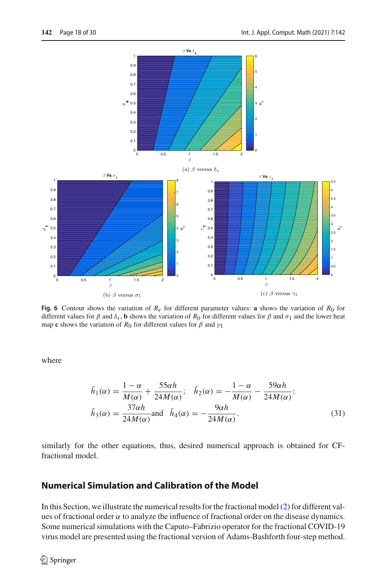

<span id="page-17-1"></span>**Fig. 6** Contour shows the variation of  $R_e$  for different parameter values: **a** shows the variation of  $R_0$  for different values for  $\beta$  and  $\delta_s$ , **b** shows the variation of  $R_0$  for different values for  $\beta$  and  $\sigma_1$  and the lower heat map **c** shows the variation of  $R_0$  for different values for  $\beta$  and  $\gamma_1$ 

where

<span id="page-17-0"></span>
$$
\tilde{h}_1(\alpha) = \frac{1 - \alpha}{M(\alpha)} + \frac{55\alpha h}{24M(\alpha)}; \quad \tilde{h}_2(\alpha) = -\frac{1 - \alpha}{M(\alpha)} - \frac{59\alpha h}{24M(\alpha)};
$$
\n
$$
\tilde{h}_3(\alpha) = \frac{37\alpha h}{24M(\alpha)} \text{and } \tilde{h}_4(\alpha) = -\frac{9\alpha h}{24M(\alpha)}.
$$
\n(31)

similarly for the other equations, thus, desired numerical approach is obtained for CFfractional model.

## **Numerical Simulation and Calibration of the Model**

In this Section, we illustrate the numerical results for the fractional model [\(2\)](#page-4-0) for different values of fractional order  $\alpha$  to analyze the influence of fractional order on the disease dynamics. Some numerical simulations with the Caputo–Fabrizio operator for the fractional COVID-19 virus model are presented using the fractional version of Adams-Bashforth four-step method.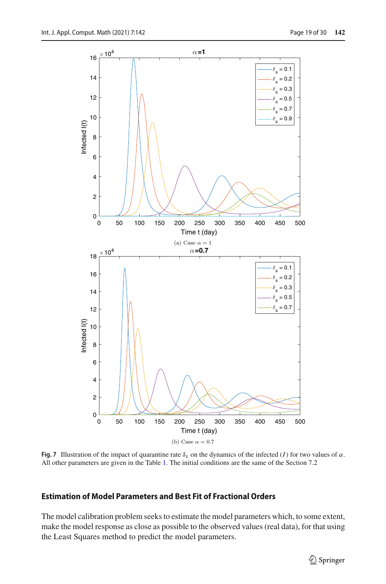

<span id="page-18-0"></span>**Fig. 7** Illustration of the impact of quarantine rate  $\delta_s$  on the dynamics of the infected (*I*) for two values of  $\alpha$ . All other parameters are given in the Table [1.](#page-16-0) The initial conditions are the same of the Section 7.2

#### **Estimation of Model Parameters and Best Fit of Fractional Orders**

The model calibration problem seeks to estimate the model parameters which, to some extent, make the model response as close as possible to the observed values (real data), for that using the Least Squares method to predict the model parameters.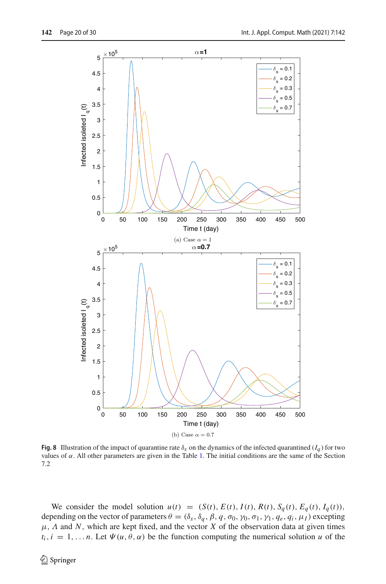

<span id="page-19-0"></span>**Fig. 8** Illustration of the impact of quarantine rate  $\delta_s$  on the dynamics of the infected quarantined ( $I_q$ ) for two values of  $\alpha$ . All other parameters are given in the Table [1.](#page-16-0) The initial conditions are the same of the Section 7.2

We consider the model solution  $u(t) = (S(t), E(t), I(t), R(t), S_q(t), E_q(t), I_q(t)),$ depending on the vector of parameters  $\theta = (\delta_s, \delta_q, \beta, q, \sigma_0, \gamma_0, \sigma_1, \gamma_1, q_e, q_i, \mu_I)$  excepting  $\mu$ ,  $\Lambda$  and  $\dot{N}$ , which are kept fixed, and the vector  $\dot{X}$  of the observation data at given times  $t_i$ ,  $i = 1, \ldots n$ . Let  $\Psi(u, \theta, \alpha)$  be the function computing the numerical solution *u* of the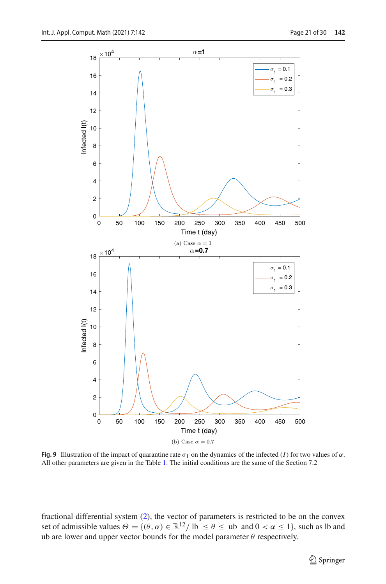

<span id="page-20-0"></span>**Fig. 9** Illustration of the impact of quarantine rate  $\sigma_1$  on the dynamics of the infected (*I*) for two values of  $\alpha$ . All other parameters are given in the Table [1.](#page-16-0) The initial conditions are the same of the Section 7.2

fractional differential system [\(2\)](#page-4-0), the vector of parameters is restricted to be on the convex set of admissible values  $\Theta = \{(\theta, \alpha) \in \mathbb{R}^{12} / l\}$   $\leq \theta \leq$  ub and  $0 < \alpha \leq 1\}$ , such as lb and ub are lower and upper vector bounds for the model parameter  $\theta$  respectively.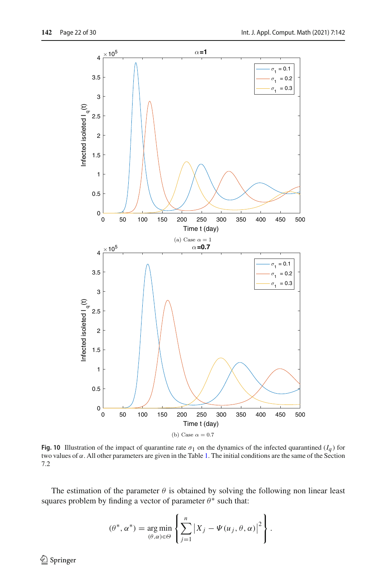

<span id="page-21-0"></span>**Fig. 10** Illustration of the impact of quarantine rate  $\sigma_1$  on the dynamics of the infected quarantined  $(I_q)$  for two values of  $\alpha$ . All other parameters are given in the Table [1.](#page-16-0) The initial conditions are the same of the Section 7.2

The estimation of the parameter  $\theta$  is obtained by solving the following non linear least squares problem by finding a vector of parameter  $\theta^*$  such that:

$$
(\theta^*, \alpha^*) = \underset{(\theta, \alpha) \in \Theta}{\arg \min} \left\{ \sum_{j=1}^n \left| X_j - \Psi(u_j, \theta, \alpha) \right|^2 \right\}.
$$

 $\bigcirc$  Springer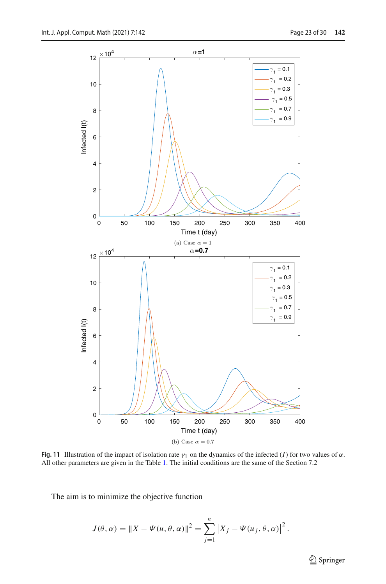

<span id="page-22-0"></span>**Fig. 11** Illustration of the impact of isolation rate  $\gamma_1$  on the dynamics of the infected (*I*) for two values of  $\alpha$ . All other parameters are given in the Table [1.](#page-16-0) The initial conditions are the same of the Section 7.2

The aim is to minimize the objective function

$$
J(\theta, \alpha) = \|X - \Psi(u, \theta, \alpha)\|^2 = \sum_{j=1}^n |X_j - \Psi(u_j, \theta, \alpha)|^2.
$$

<sup>2</sup> Springer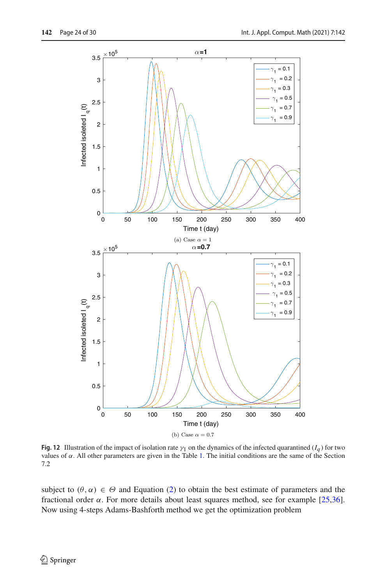

<span id="page-23-0"></span>**Fig. 12** Illustration of the impact of isolation rate  $\gamma_1$  on the dynamics of the infected quarantined ( $I_q$ ) for two values of  $\alpha$ . All other parameters are given in the Table [1.](#page-16-0) The initial conditions are the same of the Section 7.2

subject to  $(\theta, \alpha) \in \Theta$  and Equation [\(2\)](#page-4-0) to obtain the best estimate of parameters and the fractional order  $\alpha$ . For more details about least squares method, see for example [\[25](#page-28-21)[,36\]](#page-28-22). Now using 4-steps Adams-Bashforth method we get the optimization problem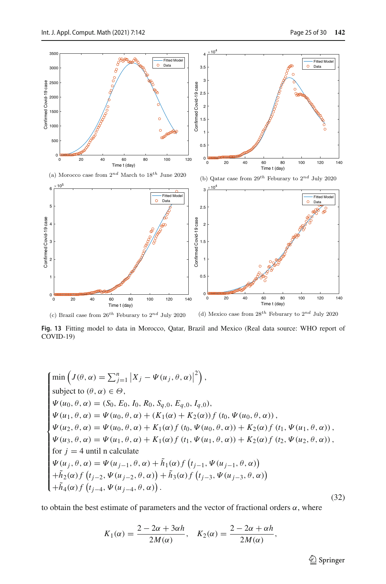

<span id="page-24-0"></span>(c) Brazil case from  $26^{th}$  Feburary to  $2^{nd}$  July 2020 (d) Mexico case from 28*th* Feburary to 2*nd* July 2020

**Fig. 13** Fitting model to data in Morocco, Qatar, Brazil and Mexico (Real data source: WHO report of COVID-19)

$$
\begin{cases}\n\min \left( J(\theta, \alpha) = \sum_{j=1}^{n} |X_j - \Psi(u_j, \theta, \alpha)|^2 \right), \\
\text{subject to } (\theta, \alpha) \in \Theta, \\
\Psi(u_0, \theta, \alpha) = (S_0, E_0, I_0, R_0, S_{q,0}, E_{q,0}, I_{q,0}), \\
\Psi(u_1, \theta, \alpha) = \Psi(u_0, \theta, \alpha) + (K_1(\alpha) + K_2(\alpha)) f(t_0, \Psi(u_0, \theta, \alpha)), \\
\Psi(u_2, \theta, \alpha) = \Psi(u_0, \theta, \alpha) + K_1(\alpha) f(t_0, \Psi(u_0, \theta, \alpha)) + K_2(\alpha) f(t_1, \Psi(u_1, \theta, \alpha)), \\
\Psi(u_3, \theta, \alpha) = \Psi(u_1, \theta, \alpha) + K_1(\alpha) f(t_1, \Psi(u_1, \theta, \alpha)) + K_2(\alpha) f(t_2, \Psi(u_2, \theta, \alpha)), \\
\text{for } j = 4 \text{ until } n \text{ calculate} \\
\Psi(u_j, \theta, \alpha) = \Psi(u_{j-1}, \theta, \alpha) + \tilde{h}_1(\alpha) f(t_{j-1}, \Psi(u_{j-1}, \theta, \alpha)) \\
+\tilde{h}_2(\alpha) f(t_{j-2}, \Psi(u_{j-2}, \theta, \alpha)) + \tilde{h}_3(\alpha) f(t_{j-3}, \Psi(u_{j-3}, \theta, \alpha)) \\
+\tilde{h}_4(\alpha) f(t_{j-4}, \Psi(u_{j-4}, \theta, \alpha)).\n\end{cases} \tag{32}
$$

to obtain the best estimate of parameters and the vector of fractional orders  $\alpha$ , where

$$
K_1(\alpha) = \frac{2 - 2\alpha + 3\alpha h}{2M(\alpha)}, \quad K_2(\alpha) = \frac{2 - 2\alpha + \alpha h}{2M(\alpha)},
$$

<sup>2</sup> Springer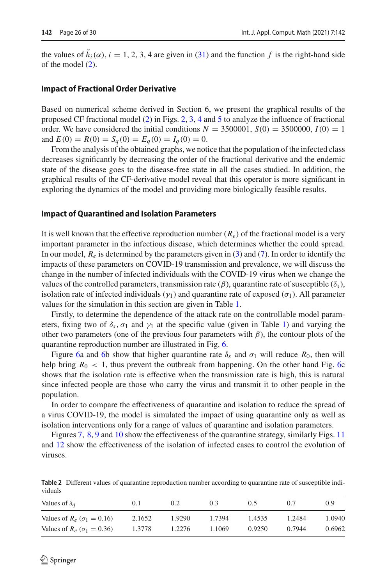the values of  $\tilde{h}_i(\alpha)$ ,  $i = 1, 2, 3, 4$  are given in [\(31\)](#page-17-0) and the function f is the right-hand side of the model [\(2\)](#page-4-0).

#### **Impact of Fractional Order Derivative**

Based on numerical scheme derived in Section 6, we present the graphical results of the proposed CF fractional model [\(2\)](#page-4-0) in Figs. [2,](#page-12-0) [3,](#page-13-0) [4](#page-14-0) and [5](#page-15-0) to analyze the influence of fractional order. We have considered the initial conditions  $N = 3500001$ ,  $S(0) = 3500000$ ,  $I(0) = 1$ and  $E(0) = R(0) = S_q(0) = E_q(0) = I_q(0) = 0$ .

From the analysis of the obtained graphs, we notice that the population of the infected class decreases significantly by decreasing the order of the fractional derivative and the endemic state of the disease goes to the disease-free state in all the cases studied. In addition, the graphical results of the CF-derivative model reveal that this operator is more significant in exploring the dynamics of the model and providing more biologically feasible results.

#### **Impact of Quarantined and Isolation Parameters**

It is well known that the effective reproduction number  $(R_e)$  of the fractional model is a very important parameter in the infectious disease, which determines whether the could spread. In our model, *Re* is determined by the parameters given in [\(3\)](#page-4-1) and [\(7\)](#page-5-0). In order to identify the impacts of these parameters on COVID-19 transmission and prevalence, we will discuss the change in the number of infected individuals with the COVID-19 virus when we change the values of the controlled parameters, transmission rate (β), quarantine rate of susceptible (δ*s*), isolation rate of infected individuals ( $\gamma_1$ ) and quarantine rate of exposed ( $\sigma_1$ ). All parameter values for the simulation in this section are given in Table [1.](#page-16-0)

Firstly, to determine the dependence of the attack rate on the controllable model parameters, fixing two of  $\delta_s$ ,  $\sigma_1$  and  $\gamma_1$  at the specific value (given in Table [1\)](#page-16-0) and varying the other two parameters (one of the previous four parameters with  $\beta$ ), the contour plots of the quarantine reproduction number are illustrated in Fig. [6.](#page-17-1)

Figure [6a](#page-17-1) and [6b](#page-17-1) show that higher quarantine rate  $\delta_s$  and  $\sigma_1$  will reduce  $R_0$ , then will help bring  $R_0 < 1$ , thus prevent the outbreak from happening. On the other hand Fig. [6c](#page-17-1) shows that the isolation rate is effective when the transmission rate is high, this is natural since infected people are those who carry the virus and transmit it to other people in the population.

In order to compare the effectiveness of quarantine and isolation to reduce the spread of a virus COVID-19, the model is simulated the impact of using quarantine only as well as isolation interventions only for a range of values of quarantine and isolation parameters.

Figures [7,](#page-18-0) [8,](#page-19-0) [9](#page-20-0) and [10](#page-21-0) show the effectiveness of the quarantine strategy, similarly Figs. [11](#page-22-0) and [12](#page-23-0) show the effectiveness of the isolation of infected cases to control the evolution of viruses.

<span id="page-25-0"></span>

|         | Table 2 Different values of quarantine reproduction number according to quarantine rate of susceptible indi- |  |  |
|---------|--------------------------------------------------------------------------------------------------------------|--|--|
| viduals |                                                                                                              |  |  |

| Values of $\delta_a$                  | O. I   | 0.2    | 0.3    | 0.5    | 0.7    | 0.9    |
|---------------------------------------|--------|--------|--------|--------|--------|--------|
| Values of $R_e$ ( $\sigma_1 = 0.16$ ) | 2.1652 | 1.9290 | 1.7394 | 1.4535 | 1.2484 | 1.0940 |
| Values of $R_e$ ( $\sigma_1 = 0.36$ ) | 1.3778 | 1.2276 | 1.1069 | 0.9250 | 0.7944 | 0.6962 |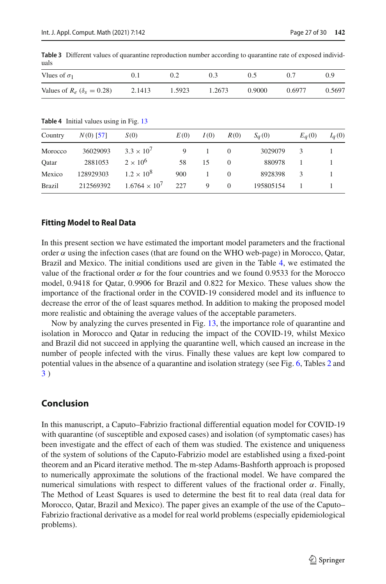| uais                                  |        |        |        |        |        |        |  |  |  |
|---------------------------------------|--------|--------|--------|--------|--------|--------|--|--|--|
| Vlues of $\sigma_1$                   | 0. l   |        | 0.3    | 0.5    |        | (0.9)  |  |  |  |
| Values of $R_e$ ( $\delta_s = 0.28$ ) | 2.1413 | 1.5923 | 1.2673 | 0.9000 | 0.6977 | 0.5697 |  |  |  |
|                                       |        |        |        |        |        |        |  |  |  |

<span id="page-26-1"></span>**Table 3** Different values of quarantine reproduction number according to quarantine rate of exposed individuals

<span id="page-26-0"></span>**Table 4** Initial values using in Fig. [13](#page-24-0)

| Country       | $N(0)$ [57] | S(0)                   | E(0) | I(0) | R(0)     | $S_a(0)$  | $E_q(0)$ | $I_q(0)$ |
|---------------|-------------|------------------------|------|------|----------|-----------|----------|----------|
| Morocco       | 36029093    | $3.3 \times 10^{7}$    | 9    |      | $\Omega$ | 3029079   |          |          |
| Oatar         | 2881053     | $2 \times 10^6$        | 58   | 15   | $\Omega$ | 880978    |          |          |
| Mexico        | 128929303   | $1.2 \times 10^{8}$    | 900  |      | $\Omega$ | 8928398   | 3        |          |
| <b>Brazil</b> | 212569392   | $1.6764 \times 10^{7}$ | 227  | 9    | $\Omega$ | 195805154 |          |          |

#### **Fitting Model to Real Data**

In this present section we have estimated the important model parameters and the fractional order  $\alpha$  using the infection cases (that are found on the WHO web-page) in Morocco, Qatar, Brazil and Mexico. The initial conditions used are given in the Table [4,](#page-26-0) we estimated the value of the fractional order  $\alpha$  for the four countries and we found 0.9533 for the Morocco model, 0.9418 for Qatar, 0.9906 for Brazil and 0.822 for Mexico. These values show the importance of the fractional order in the COVID-19 considered model and its influence to decrease the error of the of least squares method. In addition to making the proposed model more realistic and obtaining the average values of the acceptable parameters.

Now by analyzing the curves presented in Fig. [13,](#page-24-0) the importance role of quarantine and isolation in Morocco and Qatar in reducing the impact of the COVID-19, whilst Mexico and Brazil did not succeed in applying the quarantine well, which caused an increase in the number of people infected with the virus. Finally these values are kept low compared to potential values in the absence of a quarantine and isolation strategy (see Fig. [6,](#page-17-1) Tables [2](#page-25-0) and [3](#page-26-1) )

## **Conclusion**

In this manuscript, a Caputo–Fabrizio fractional differential equation model for COVID-19 with quarantine (of susceptible and exposed cases) and isolation (of symptomatic cases) has been investigate and the effect of each of them was studied. The existence and uniqueness of the system of solutions of the Caputo-Fabrizio model are established using a fixed-point theorem and an Picard iterative method. The m-step Adams-Bashforth approach is proposed to numerically approximate the solutions of the fractional model. We have compared the numerical simulations with respect to different values of the fractional order  $\alpha$ . Finally, The Method of Least Squares is used to determine the best fit to real data (real data for Morocco, Qatar, Brazil and Mexico). The paper gives an example of the use of the Caputo– Fabrizio fractional derivative as a model for real world problems (especially epidemiological problems).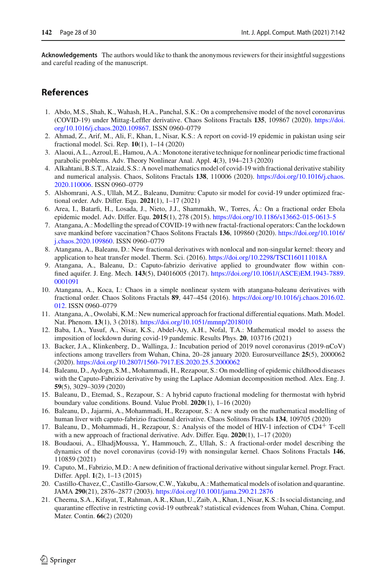**Acknowledgements** The authors would like to thank the anonymous reviewers for their insightful suggestions and careful reading of the manuscript.

## **References**

- <span id="page-27-9"></span>1. Abdo, M.S., Shah, K., Wahash, H.A., Panchal, S.K.: On a comprehensive model of the novel coronavirus (COVID-19) under Mittag-Leffler derivative. Chaos Solitons Fractals **135**, 109867 (2020). [https://doi.](https://doi.org/10.1016/j.chaos.2020.109867) [org/10.1016/j.chaos.2020.109867.](https://doi.org/10.1016/j.chaos.2020.109867) ISSN 0960–0779
- <span id="page-27-10"></span>2. Ahmad, Z., Arif, M., Ali, F., Khan, I., Nisar, K.S.: A report on covid-19 epidemic in pakistan using seir fractional model. Sci. Rep. **10**(1), 1–14 (2020)
- <span id="page-27-17"></span>3. Alaoui, A.L., Azroul, E., Hamou, A.A.:Monotone iterative technique for nonlinear periodic time fractional parabolic problems. Adv. Theory Nonlinear Anal. Appl. **4**(3), 194–213 (2020)
- <span id="page-27-12"></span>4. Alkahtani, B.S.T., Alzaid, S.S.: A novel mathematics model of covid-19 with fractional derivative stability and numerical analysis. Chaos, Solitons Fractals **138**, 110006 (2020). [https://doi.org/10.1016/j.chaos.](https://doi.org/10.1016/j.chaos.2020.110006) [2020.110006.](https://doi.org/10.1016/j.chaos.2020.110006) ISSN 0960–0779
- <span id="page-27-13"></span>5. Alshomrani, A.S., Ullah, M.Z., Baleanu, Dumitru: Caputo sir model for covid-19 under optimized fractional order. Adv. Differ. Equ. **2021**(1), 1–17 (2021)
- <span id="page-27-2"></span>6. Area, I., Batarfi, H., Losada, J., Nieto, J.J., Shammakh, W., Torres, Á.: On a fractional order Ebola epidemic model. Adv. Differ. Equ. **2015**(1), 278 (2015). <https://doi.org/10.1186/s13662-015-0613-5>
- <span id="page-27-14"></span>7. Atangana, A.: Modelling the spread of COVID-19 with new fractal-fractional operators: Can the lockdown save mankind before vaccination? Chaos Solitons Fractals **136**, 109860 (2020). [https://doi.org/10.1016/](https://doi.org/10.1016/j.chaos.2020.109860) [j.chaos.2020.109860.](https://doi.org/10.1016/j.chaos.2020.109860) ISSN 0960–0779
- <span id="page-27-8"></span>8. Atangana, A., Baleanu, D.: New fractional derivatives with nonlocal and non-singular kernel: theory and application to heat transfer model. Therm. Sci. (2016). <https://doi.org/10.2298/TSCI160111018A>
- <span id="page-27-1"></span>9. Atangana, A., Baleanu, D.: Caputo-fabrizio derivative applied to groundwater flow within confined aquifer. J. Eng. Mech. **143**(5), D4016005 (2017). [https://doi.org/10.1061/\(ASCE\)EM.1943-7889.](https://doi.org/10.1061/(ASCE)EM.1943-7889.0001091) [0001091](https://doi.org/10.1061/(ASCE)EM.1943-7889.0001091)
- <span id="page-27-6"></span>10. Atangana, A., Koca, I.: Chaos in a simple nonlinear system with atangana-baleanu derivatives with fractional order. Chaos Solitons Fractals **89**, 447–454 (2016). [https://doi.org/10.1016/j.chaos.2016.02.](https://doi.org/10.1016/j.chaos.2016.02.012) [012.](https://doi.org/10.1016/j.chaos.2016.02.012) ISSN 0960–0779
- <span id="page-27-18"></span>11. Atangana, A., Owolabi, K.M.: New numerical approach for fractional differential equations. Math. Model. Nat. Phenom. **13**(1), 3 (2018). <https://doi.org/10.1051/mmnp/2018010>
- <span id="page-27-15"></span>12. Baba, I.A., Yusuf, A., Nisar, K.S., Abdel-Aty, A.H., Nofal, T.A.: Mathematical model to assess the imposition of lockdown during covid-19 pandemic. Results Phys. **20**, 103716 (2021)
- <span id="page-27-19"></span>13. Backer, J.A., Klinkenberg, D., Wallinga, J.: Incubation period of 2019 novel coronavirus (2019-nCoV) infections among travellers from Wuhan, China, 20–28 january 2020. Eurosurveillance **25**(5), 2000062 (2020). <https://doi.org/10.2807/1560-7917.ES.2020.25.5.2000062>
- <span id="page-27-3"></span>14. Baleanu, D., Aydogn, S.M., Mohammadi, H., Rezapour, S.: On modelling of epidemic childhood diseases with the Caputo-Fabrizio derivative by using the Laplace Adomian decomposition method. Alex. Eng. J. **59**(5), 3029–3039 (2020)
- <span id="page-27-0"></span>15. Baleanu, D., Etemad, S., Rezapour, S.: A hybrid caputo fractional modeling for thermostat with hybrid boundary value conditions. Bound. Value Probl. **2020**(1), 1–16 (2020)
- <span id="page-27-11"></span>16. Baleanu, D., Jajarmi, A., Mohammadi, H., Rezapour, S.: A new study on the mathematical modelling of human liver with caputo-fabrizio fractional derivative. Chaos Solitons Fractals **134**, 109705 (2020)
- <span id="page-27-4"></span>17. Baleanu, D., Mohammadi, H., Rezapour, S.: Analysis of the model of HIV-1 infection of CD4<sup>+</sup> T-cell with a new approach of fractional derivative. Adv. Differ. Equ. **2020**(1), 1–17 (2020)
- <span id="page-27-5"></span>18. Boudaoui, A., ElhadjMoussa, Y., Hammouch, Z., Ullah, S.: A fractional-order model describing the dynamics of the novel coronavirus (covid-19) with nonsingular kernel. Chaos Solitons Fractals **146**, 110859 (2021)
- <span id="page-27-7"></span>19. Caputo, M., Fabrizio, M.D.: A new definition of fractional derivative without singular kernel. Progr. Fract. Differ. Appl. **1**(2), 1–13 (2015)
- <span id="page-27-16"></span>20. Castillo-Chavez, C., Castillo-Garsow, C.W., Yakubu, A.: Mathematical models of isolation and quarantine. JAMA **290**(21), 2876–2877 (2003). <https://doi.org/10.1001/jama.290.21.2876>
- 21. Cheema, S.A., Kifayat, T., Rahman, A.R., Khan, U., Zaib, A., Khan, I., Nisar, K.S.: Is social distancing, and quarantine effective in restricting covid-19 outbreak? statistical evidences from Wuhan, China. Comput. Mater. Contin. **66**(2) (2020)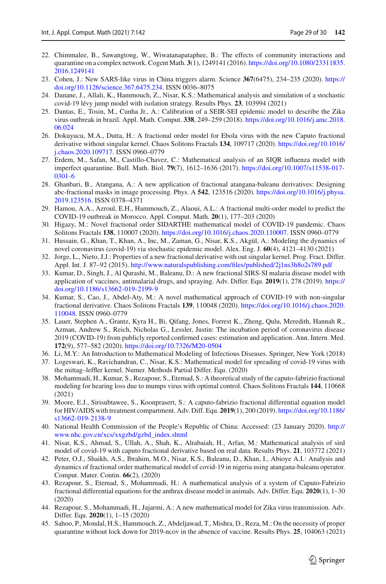- <span id="page-28-16"></span>22. Chimmalee, B., Sawangtong, W., Wiwatanapataphee, B.: The effects of community interactions and quarantine on a complex network. Cogent Math. **3**(1), 1249141 (2016). [https://doi.org/10.1080/23311835.](https://doi.org/10.1080/23311835.2016.1249141) [2016.1249141](https://doi.org/10.1080/23311835.2016.1249141)
- <span id="page-28-0"></span>23. Cohen, J.: New SARS-like virus in China triggers alarm. Science **367**(6475), 234–235 (2020). [https://](https://doi.org/10.1126/science.367.6475.234) [doi.org/10.1126/science.367.6475.234.](https://doi.org/10.1126/science.367.6475.234) ISSN 0036–8075
- <span id="page-28-12"></span>24. Danane, J., Allali, K., Hammouch, Z., Nisar, K.S.: Mathematical analysis and simulation of a stochastic covid-19 lévy jump model with isolation strategy. Results Phys. **23**, 103994 (2021)
- <span id="page-28-21"></span>25. Dantas, E., Tosin, M., Cunha Jr., A.: Calibration of a SEIR-SEI epidemic model to describe the Zika virus outbreak in brazil. Appl. Math. Comput. **338**, 249–259 (2018). [https://doi.org/10.1016/j.amc.2018.](https://doi.org/10.1016/j.amc.2018.06.024) [06.024](https://doi.org/10.1016/j.amc.2018.06.024)
- <span id="page-28-1"></span>26. Dokuyucu, M.A., Dutta, H.: A fractional order model for Ebola virus with the new Caputo fractional derivative without singular kernel. Chaos Solitons Fractals **134**, 109717 (2020). [https://doi.org/10.1016/](https://doi.org/10.1016/j.chaos.2020.109717) [j.chaos.2020.109717.](https://doi.org/10.1016/j.chaos.2020.109717) ISSN 0960–0779
- <span id="page-28-17"></span>27. Erdem, M., Safan, M., Castillo-Chavez, C.: Mathematical analysis of an SIQR influenza model with imperfect quarantine. Bull. Math. Biol. **79**(7), 1612–1636 (2017). [https://doi.org/10.1007/s11538-017-](https://doi.org/10.1007/s11538-017-0301-6) [0301-6](https://doi.org/10.1007/s11538-017-0301-6)
- <span id="page-28-5"></span>28. Ghanbari, B., Atangana, A.: A new application of fractional atangana-baleanu derivatives: Designing abc-fractional masks in image processing. Phys. A **542**, 123516 (2020). [https://doi.org/10.1016/j.physa.](https://doi.org/10.1016/j.physa.2019.123516) [2019.123516.](https://doi.org/10.1016/j.physa.2019.123516) ISSN 0378–4371
- <span id="page-28-2"></span>29. Hamou, A.A., Azroul, E.H., Hammouch, Z., Alaoui, A.L.: A fractional multi-order model to predict the COVID-19 outbreak in Morocco. Appl. Comput. Math. **20**(1), 177–203 (2020)
- <span id="page-28-11"></span>30. Higazy, M.: Novel fractional order SIDARTHE mathematical model of COVID-19 pandemic. Chaos Solitons Fractals **138**, 110007 (2020). [https://doi.org/10.1016/j.chaos.2020.110007.](https://doi.org/10.1016/j.chaos.2020.110007) ISSN 0960–0779
- <span id="page-28-13"></span>31. Hussain, G., Khan, T., Khan, A., Inc, M., Zaman, G., Nisar, K.S., Akgül, A.: Modeling the dynamics of novel coronavirus (covid-19) via stochastic epidemic model. Alex. Eng. J. **60**(4), 4121–4130 (2021)
- <span id="page-28-18"></span>32. Jorge, L., Nieto, J.J.: Properties of a new fractional derivative with out singular kernel. Prog. Fract. Differ. Appl. Int. J. 87–92 (2015). <http://www.naturalspublishing.com/files/published/2j1ns3h8o2s789.pdf>
- <span id="page-28-6"></span>33. Kumar, D., Singh, J., Al Qurashi, M., Baleanu, D.: A new fractional SIRS-SI malaria disease model with application of vaccines, antimalarial drugs, and spraying. Adv. Differ. Equ. **2019**(1), 278 (2019). [https://](https://doi.org/10.1186/s13662-019-2199-9) [doi.org/10.1186/s13662-019-2199-9](https://doi.org/10.1186/s13662-019-2199-9)
- <span id="page-28-14"></span>34. Kumar, S., Cao, J., Abdel-Aty, M.: A novel mathematical approach of COVID-19 with non-singular fractional derivative. Chaos Solitons Fractals **139**, 110048 (2020). [https://doi.org/10.1016/j.chaos.2020.](https://doi.org/10.1016/j.chaos.2020.110048) [110048.](https://doi.org/10.1016/j.chaos.2020.110048) ISSN 0960–0779
- <span id="page-28-20"></span>35. Lauer, Stephen A., Grantz, Kyra H., Bi, Qifang, Jones, Forrest K., Zheng, Qulu, Meredith, Hannah R., Azman, Andrew S., Reich, Nicholas G., Lessler, Justin: The incubation period of coronavirus disease 2019 (COVID-19) from publicly reported confirmed cases: estimation and application. Ann. Intern. Med. **172**(9), 577–582 (2020). <https://doi.org/10.7326/M20-0504>
- <span id="page-28-22"></span>36. Li, M.Y.: An Introduction to Mathematical Modeling of Infectious Diseases. Springer, New York (2018)
- <span id="page-28-15"></span>37. Logeswari, K., Ravichandran, C., Nisar, K.S.: Mathematical model for spreading of covid-19 virus with the mittag–leffler kernel. Numer. Methods Partial Differ. Equ. (2020)
- <span id="page-28-10"></span>38. Mohammadi, H., Kumar, S., Rezapour, S., Etemad, S.: A theoretical study of the caputo-fabrizio fractional modeling for hearing loss due to mumps virus with optimal control. Chaos Solitons Fractals **144**, 110668 (2021)
- <span id="page-28-19"></span>39. Moore, E.J., Sirisubtawee, S., Koonprasert, S.: A caputo-fabrizio fractional differential equation model for HIV/AIDS with treatment compartment. Adv. Diff. Equ. **2019**(1), 200 (2019). [https://doi.org/10.1186/](https://doi.org/10.1186/s13662-019-2138-9) [s13662-019-2138-9](https://doi.org/10.1186/s13662-019-2138-9)
- 40. National Health Commission of the People's Republic of China: Accessed: (23 January 2020). [http://](http://www.nhc.gov.cn/xcs/xxgzbd/gzbd_index.shtml) [www.nhc.gov.cn/xcs/xxgzbd/gzbd\\_index.shtml](http://www.nhc.gov.cn/xcs/xxgzbd/gzbd_index.shtml)
- <span id="page-28-8"></span>41. Nisar, K.S., Ahmad, S., Ullah, A., Shah, K., Alrabaiah, H., Arfan, M.: Mathematical analysis of sird model of covid-19 with caputo fractional derivative based on real data. Results Phys. **21**, 103772 (2021)
- <span id="page-28-7"></span>42. Peter, O.J., Shaikh, A.S., Ibrahim, M.O., Nisar, K.S., Baleanu, D., Khan, I., Abioye A.I.: Analysis and dynamics of fractional order mathematical model of covid-19 in nigeria using atangana-baleanu operator. Comput. Mater. Contin. **66**(2), (2020)
- <span id="page-28-9"></span>43. Rezapour, S., Etemad, S., Mohammadi, H.: A mathematical analysis of a system of Caputo-Fabrizio fractional differential equations for the anthrax disease model in animals. Adv. Differ. Equ. **2020**(1), 1–30 (2020)
- <span id="page-28-3"></span>44. Rezapour, S., Mohammadi, H., Jajarmi, A.: A new mathematical model for Zika virus transmission. Adv. Differ. Equ. **2020**(1), 1–15 (2020)
- <span id="page-28-4"></span>45. Sahoo, P., Mondal, H.S., Hammouch, Z., Abdeljawad, T., Mishra, D., Reza, M.: On the necessity of proper quarantine without lock down for 2019-ncov in the absence of vaccine. Results Phys. **25**, 104063 (2021)